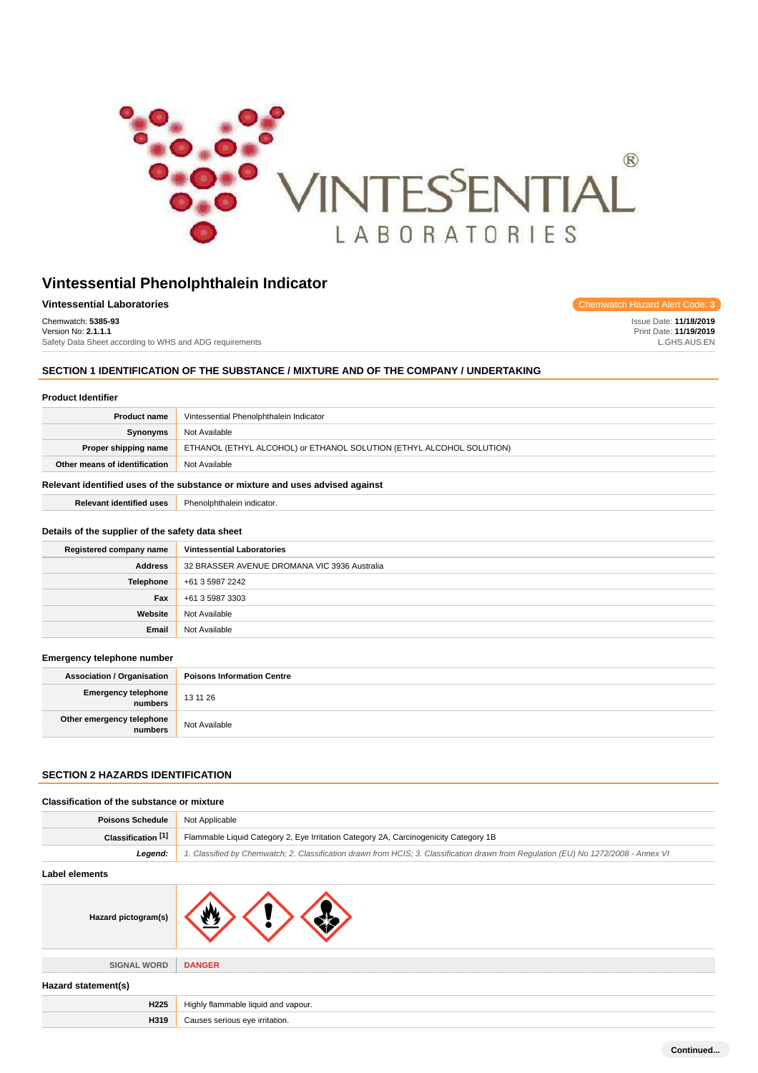

| <b>Vintessential Laboratories</b>                       | Chemwatch Hazard Alert Code: 3 |
|---------------------------------------------------------|--------------------------------|
| Chemwatch: 5385-93                                      | <b>Issue Date: 11/18/2019</b>  |
| Version No: 2.1.1.1                                     | Print Date: 11/19/2019         |
| Safety Data Sheet according to WHS and ADG requirements | L.GHS.AUS.EN                   |

## **SECTION 1 IDENTIFICATION OF THE SUBSTANCE / MIXTURE AND OF THE COMPANY / UNDERTAKING**

|  | <b>Product Identifier</b> |
|--|---------------------------|
|--|---------------------------|

| <b>Product name</b>                                                           | Vintessential Phenolphthalein Indicator                              |
|-------------------------------------------------------------------------------|----------------------------------------------------------------------|
| Synonyms                                                                      | Not Available                                                        |
| Proper shipping name                                                          | ETHANOL (ETHYL ALCOHOL) or ETHANOL SOLUTION (ETHYL ALCOHOL SOLUTION) |
| Other means of identification                                                 | Not Available                                                        |
| Relevant identified uses of the substance or mixture and uses advised against |                                                                      |

**Relevant identified uses** Phenolphthalein indicator.

#### **Details of the supplier of the safety data sheet**

| Registered company name | <b>Vintessential Laboratories</b>            |
|-------------------------|----------------------------------------------|
| <b>Address</b>          | 32 BRASSER AVENUE DROMANA VIC 3936 Australia |
| <b>Telephone</b>        | +61 3 5987 2242                              |
| Fax                     | +61 3 5987 3303                              |
| Website                 | Not Available                                |
| Email                   | Not Available                                |

#### **Emergency telephone number**

| <b>Association / Organisation</b>    | <b>Poisons Information Centre</b> |
|--------------------------------------|-----------------------------------|
| Emergency telephone<br>numbers       | 13 11 26                          |
| Other emergency telephone<br>numbers | Not Available                     |

# **SECTION 2 HAZARDS IDENTIFICATION**

| Classification of the substance or mixture |                                                                                                                                     |
|--------------------------------------------|-------------------------------------------------------------------------------------------------------------------------------------|
| <b>Poisons Schedule</b>                    | Not Applicable                                                                                                                      |
| Classification <sup>[1]</sup>              | Flammable Liquid Category 2, Eye Irritation Category 2A, Carcinogenicity Category 1B                                                |
| Legend:                                    | 1. Classified by Chemwatch; 2. Classification drawn from HCIS; 3. Classification drawn from Regulation (EU) No 1272/2008 - Annex VI |
| Label elements                             |                                                                                                                                     |
| Hazard pictogram(s)                        |                                                                                                                                     |
| <b>SIGNAL WORD</b>                         | <b>DANGER</b>                                                                                                                       |
| Hazard statement(s)                        |                                                                                                                                     |
| H <sub>225</sub>                           | Highly flammable liquid and vapour.                                                                                                 |
| H319                                       | Causes serious eye irritation.                                                                                                      |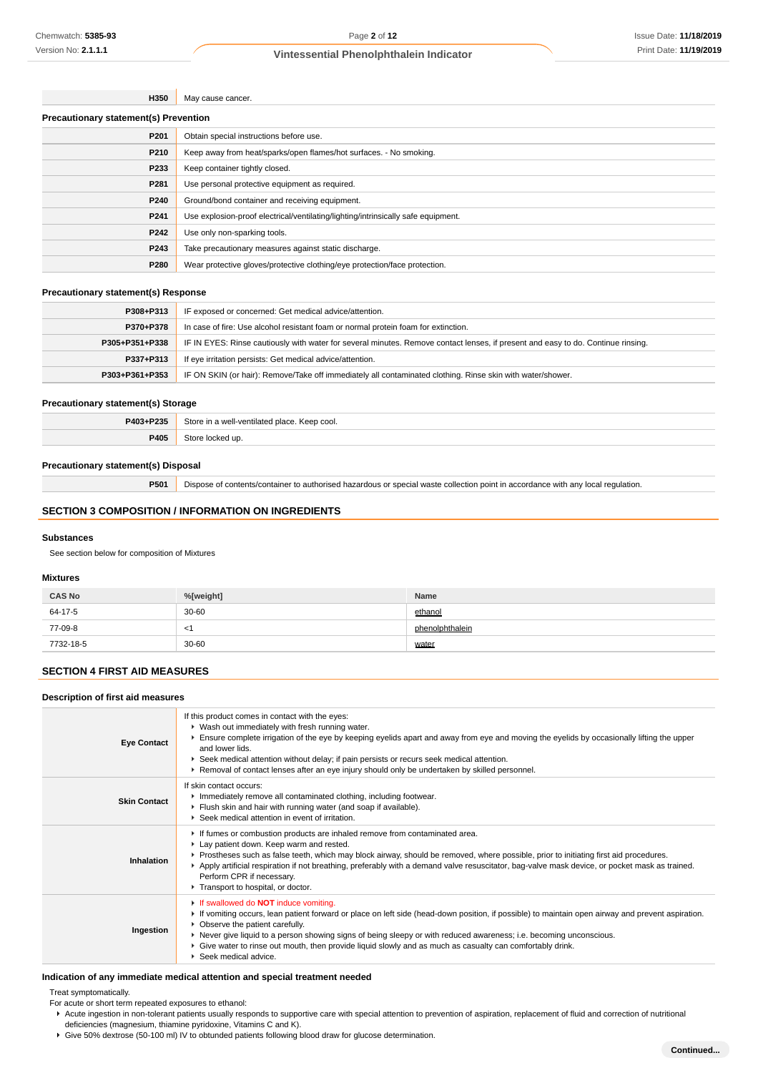| H350 | May cause cancer.                                                                 |  |
|------|-----------------------------------------------------------------------------------|--|
|      | <b>Precautionary statement(s) Prevention</b>                                      |  |
| P201 | Obtain special instructions before use.                                           |  |
| P210 | Keep away from heat/sparks/open flames/hot surfaces. - No smoking.                |  |
| P233 | Keep container tightly closed.                                                    |  |
| P281 | Use personal protective equipment as required.                                    |  |
| P240 | Ground/bond container and receiving equipment.                                    |  |
| P241 | Use explosion-proof electrical/ventilating/lighting/intrinsically safe equipment. |  |
| P242 | Use only non-sparking tools.                                                      |  |
| P243 | Take precautionary measures against static discharge.                             |  |
| P280 | Wear protective gloves/protective clothing/eye protection/face protection.        |  |

#### **Precautionary statement(s) Response**

| P308+P313      | IF exposed or concerned: Get medical advice/attention.                                                                           |
|----------------|----------------------------------------------------------------------------------------------------------------------------------|
| P370+P378      | In case of fire: Use alcohol resistant foam or normal protein foam for extinction.                                               |
| P305+P351+P338 | IF IN EYES: Rinse cautiously with water for several minutes. Remove contact lenses, if present and easy to do. Continue rinsing. |
| P337+P313      | If eye irritation persists: Get medical advice/attention.                                                                        |
| P303+P361+P353 | IF ON SKIN (or hair): Remove/Take off immediately all contaminated clothing. Rinse skin with water/shower.                       |
|                |                                                                                                                                  |

## **Precautionary statement(s) Storage**

| <b>DANSIDOSE</b><br>2.35 | Ctoro<br>∴ Keep cool.<br>i a well-ventilated place<br>.<br>$\sim$ $\sim$ $\sim$ |
|--------------------------|---------------------------------------------------------------------------------|
| <i>aane</i>              |                                                                                 |

## **Precautionary statement(s) Disposal**

**P501** Dispose of contents/container to authorised hazardous or special waste collection point in accordance with any local regulation.

## **SECTION 3 COMPOSITION / INFORMATION ON INGREDIENTS**

#### **Substances**

See section below for composition of Mixtures

## **Mixtures**

| <b>CAS No</b> | %[weight] | Name            |
|---------------|-----------|-----------------|
| 64-17-5       | $30 - 60$ | ethanol         |
| 77-09-8       | - <1      | phenolphthalein |
| 7732-18-5     | 30-60     | water           |

# **SECTION 4 FIRST AID MEASURES**

## **Description of first aid measures**

| <b>Eye Contact</b>  | If this product comes in contact with the eyes:<br>▶ Wash out immediately with fresh running water.<br>Ensure complete irrigation of the eye by keeping eyelids apart and away from eye and moving the eyelids by occasionally lifting the upper<br>and lower lids.<br>▶ Seek medical attention without delay; if pain persists or recurs seek medical attention.<br>▶ Removal of contact lenses after an eye injury should only be undertaken by skilled personnel.                                 |
|---------------------|------------------------------------------------------------------------------------------------------------------------------------------------------------------------------------------------------------------------------------------------------------------------------------------------------------------------------------------------------------------------------------------------------------------------------------------------------------------------------------------------------|
| <b>Skin Contact</b> | If skin contact occurs:<br>Inmediately remove all contaminated clothing, including footwear.<br>Flush skin and hair with running water (and soap if available).<br>▶ Seek medical attention in event of irritation.                                                                                                                                                                                                                                                                                  |
| Inhalation          | If fumes or combustion products are inhaled remove from contaminated area.<br>Lay patient down. Keep warm and rested.<br>▶ Prostheses such as false teeth, which may block airway, should be removed, where possible, prior to initiating first aid procedures.<br>Apply artificial respiration if not breathing, preferably with a demand valve resuscitator, bag-valve mask device, or pocket mask as trained.<br>Perform CPR if necessary.<br>Transport to hospital, or doctor.                   |
| Ingestion           | If swallowed do <b>NOT</b> induce vomiting.<br>► If vomiting occurs, lean patient forward or place on left side (head-down position, if possible) to maintain open airway and prevent aspiration.<br>• Observe the patient carefully.<br>▶ Never give liquid to a person showing signs of being sleepy or with reduced awareness; i.e. becoming unconscious.<br>▶ Give water to rinse out mouth, then provide liquid slowly and as much as casualty can comfortably drink.<br>▶ Seek medical advice. |

## **Indication of any immediate medical attention and special treatment needed**

Treat symptomatically.

For acute or short term repeated exposures to ethanol:

- Acute ingestion in non-tolerant patients usually responds to supportive care with special attention to prevention of aspiration, replacement of fluid and correction of nutritional deficiencies (magnesium, thiamine pyridoxine, Vitamins C and K).
- Give 50% dextrose (50-100 ml) IV to obtunded patients following blood draw for glucose determination.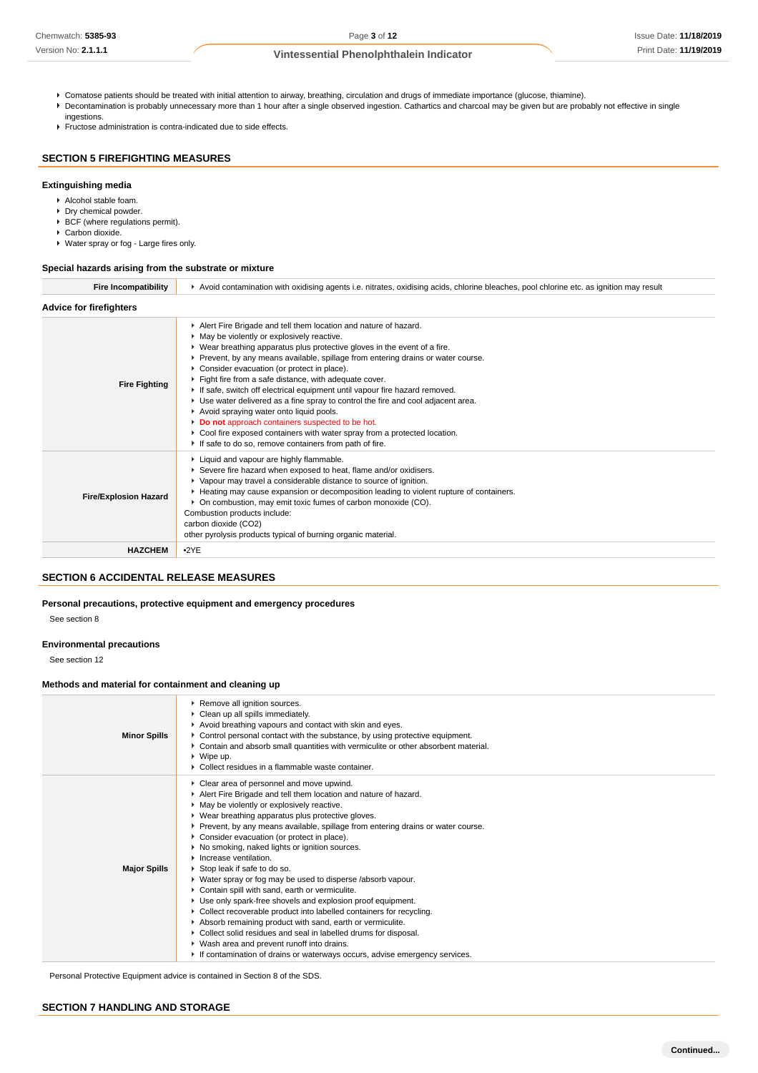- Comatose patients should be treated with initial attention to airway, breathing, circulation and drugs of immediate importance (glucose, thiamine).
- Decontamination is probably unnecessary more than 1 hour after a single observed ingestion. Cathartics and charcoal may be given but are probably not effective in single
- ingestions. Fructose administration is contra-indicated due to side effects.

## **SECTION 5 FIREFIGHTING MEASURES**

## **Extinguishing media**

- Alcohol stable foam.
- Dry chemical powder.
- $\blacktriangleright$  BCF (where regulations permit).
- ▶ Carbon dioxide.
- Water spray or fog Large fires only.

#### **Special hazards arising from the substrate or mixture**

| <b>Fire Incompatibility</b>    | ► Avoid contamination with oxidising agents i.e. nitrates, oxidising acids, chlorine bleaches, pool chlorine etc. as ignition may result                                                                                                                                                                                                                                                                                                                                                                                                                                                                                                                                                                                                                                                         |  |
|--------------------------------|--------------------------------------------------------------------------------------------------------------------------------------------------------------------------------------------------------------------------------------------------------------------------------------------------------------------------------------------------------------------------------------------------------------------------------------------------------------------------------------------------------------------------------------------------------------------------------------------------------------------------------------------------------------------------------------------------------------------------------------------------------------------------------------------------|--|
| <b>Advice for firefighters</b> |                                                                                                                                                                                                                                                                                                                                                                                                                                                                                                                                                                                                                                                                                                                                                                                                  |  |
| <b>Fire Fighting</b>           | Alert Fire Brigade and tell them location and nature of hazard.<br>• May be violently or explosively reactive.<br>▶ Wear breathing apparatus plus protective gloves in the event of a fire.<br>▶ Prevent, by any means available, spillage from entering drains or water course.<br>Consider evacuation (or protect in place).<br>Fight fire from a safe distance, with adequate cover.<br>If safe, switch off electrical equipment until vapour fire hazard removed.<br>• Use water delivered as a fine spray to control the fire and cool adjacent area.<br>Avoid spraying water onto liquid pools.<br>Do not approach containers suspected to be hot.<br>▶ Cool fire exposed containers with water spray from a protected location.<br>If safe to do so, remove containers from path of fire. |  |
| <b>Fire/Explosion Hazard</b>   | Liquid and vapour are highly flammable.<br>Severe fire hazard when exposed to heat, flame and/or oxidisers.<br>▶ Vapour may travel a considerable distance to source of ignition.<br>► Heating may cause expansion or decomposition leading to violent rupture of containers.<br>• On combustion, may emit toxic fumes of carbon monoxide (CO).<br>Combustion products include:<br>carbon dioxide (CO2)<br>other pyrolysis products typical of burning organic material.                                                                                                                                                                                                                                                                                                                         |  |
| <b>HAZCHEM</b>                 | •2YE                                                                                                                                                                                                                                                                                                                                                                                                                                                                                                                                                                                                                                                                                                                                                                                             |  |

## **SECTION 6 ACCIDENTAL RELEASE MEASURES**

#### **Personal precautions, protective equipment and emergency procedures**

See section 8

## **Environmental precautions**

See section 12

## **Methods and material for containment and cleaning up**

| <b>Minor Spills</b> | Remove all ignition sources.<br>Clean up all spills immediately.<br>Avoid breathing vapours and contact with skin and eyes.<br>► Control personal contact with the substance, by using protective equipment.<br>► Contain and absorb small quantities with vermiculite or other absorbent material.<br>$\triangleright$ Wipe up.<br>• Collect residues in a flammable waste container.                                                                                                                                                                                                                                                                                                                                                                                                                                                                                                                                                                                                 |
|---------------------|----------------------------------------------------------------------------------------------------------------------------------------------------------------------------------------------------------------------------------------------------------------------------------------------------------------------------------------------------------------------------------------------------------------------------------------------------------------------------------------------------------------------------------------------------------------------------------------------------------------------------------------------------------------------------------------------------------------------------------------------------------------------------------------------------------------------------------------------------------------------------------------------------------------------------------------------------------------------------------------|
| <b>Major Spills</b> | Clear area of personnel and move upwind.<br>Alert Fire Brigade and tell them location and nature of hazard.<br>• May be violently or explosively reactive.<br>▶ Wear breathing apparatus plus protective gloves.<br>▶ Prevent, by any means available, spillage from entering drains or water course.<br>Consider evacuation (or protect in place).<br>▶ No smoking, naked lights or ignition sources.<br>Increase ventilation.<br>Stop leak if safe to do so.<br>▶ Water spray or fog may be used to disperse /absorb vapour.<br>Contain spill with sand, earth or vermiculite.<br>Use only spark-free shovels and explosion proof equipment.<br>▶ Collect recoverable product into labelled containers for recycling.<br>Absorb remaining product with sand, earth or vermiculite.<br>• Collect solid residues and seal in labelled drums for disposal.<br>▶ Wash area and prevent runoff into drains.<br>If contamination of drains or waterways occurs, advise emergency services. |

Personal Protective Equipment advice is contained in Section 8 of the SDS.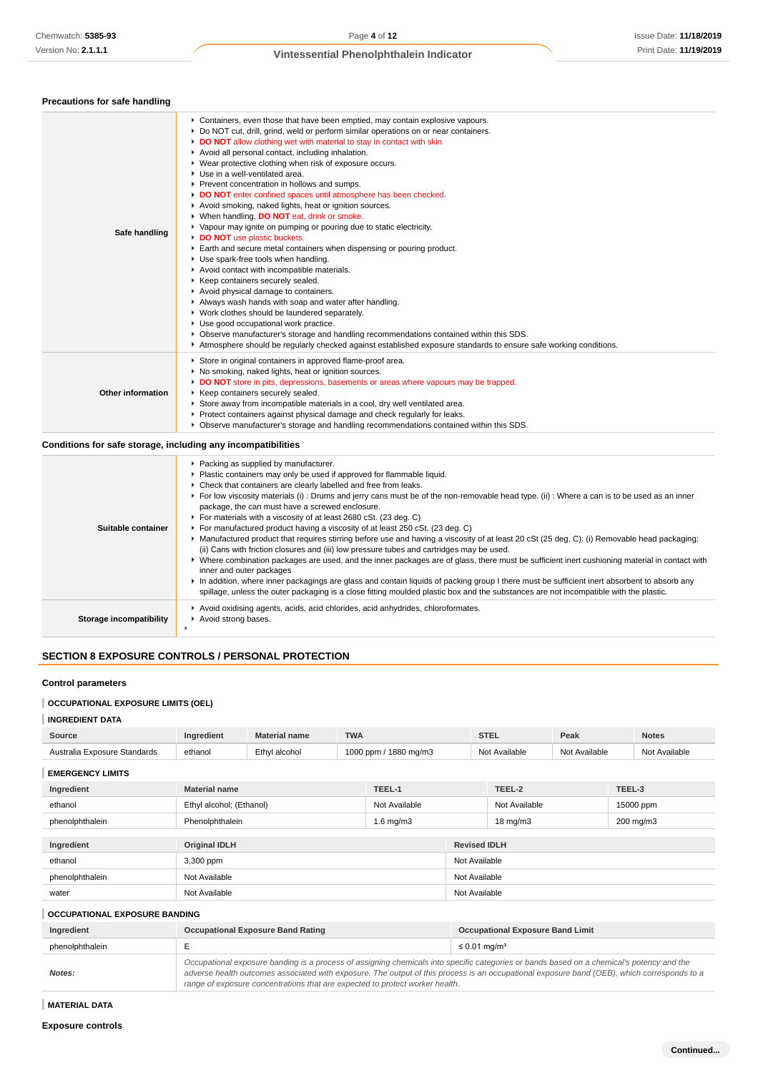| Precautions for safe handling |                                                                                                                                                                                                                                                                                                                                                                                                                                                                                                                                                                                                                                                                                                                                                                                                                                                                                                                                                                                                                                                                                                                                                                                                                                                                                                                                                       |
|-------------------------------|-------------------------------------------------------------------------------------------------------------------------------------------------------------------------------------------------------------------------------------------------------------------------------------------------------------------------------------------------------------------------------------------------------------------------------------------------------------------------------------------------------------------------------------------------------------------------------------------------------------------------------------------------------------------------------------------------------------------------------------------------------------------------------------------------------------------------------------------------------------------------------------------------------------------------------------------------------------------------------------------------------------------------------------------------------------------------------------------------------------------------------------------------------------------------------------------------------------------------------------------------------------------------------------------------------------------------------------------------------|
| Safe handling                 | ► Containers, even those that have been emptied, may contain explosive vapours.<br>▶ Do NOT cut, drill, grind, weld or perform similar operations on or near containers.<br>DO NOT allow clothing wet with material to stay in contact with skin<br>Avoid all personal contact, including inhalation.<br>▶ Wear protective clothing when risk of exposure occurs.<br>Use in a well-ventilated area.<br>Prevent concentration in hollows and sumps.<br>DO NOT enter confined spaces until atmosphere has been checked.<br>Avoid smoking, naked lights, heat or ignition sources.<br>▶ When handling, DO NOT eat, drink or smoke.<br>▶ Vapour may ignite on pumping or pouring due to static electricity.<br>DO NOT use plastic buckets.<br>Earth and secure metal containers when dispensing or pouring product.<br>Use spark-free tools when handling.<br>Avoid contact with incompatible materials.<br>▶ Keep containers securely sealed.<br>Avoid physical damage to containers.<br>Always wash hands with soap and water after handling.<br>▶ Work clothes should be laundered separately.<br>Use good occupational work practice.<br>• Observe manufacturer's storage and handling recommendations contained within this SDS.<br>Atmosphere should be regularly checked against established exposure standards to ensure safe working conditions. |
| Other information             | Store in original containers in approved flame-proof area.<br>▶ No smoking, naked lights, heat or ignition sources.<br>DO NOT store in pits, depressions, basements or areas where vapours may be trapped.<br>▶ Keep containers securely sealed.<br>Store away from incompatible materials in a cool, dry well ventilated area.<br>▶ Protect containers against physical damage and check regularly for leaks.<br>▶ Observe manufacturer's storage and handling recommendations contained within this SDS.                                                                                                                                                                                                                                                                                                                                                                                                                                                                                                                                                                                                                                                                                                                                                                                                                                            |

## **Conditions for safe storage, including any incompatibilities**

| Suitable container      | ▶ Packing as supplied by manufacturer.<br>• Plastic containers may only be used if approved for flammable liquid.<br>• Check that containers are clearly labelled and free from leaks.<br>► For low viscosity materials (i) : Drums and jerry cans must be of the non-removable head type. (ii) : Where a can is to be used as an inner<br>package, the can must have a screwed enclosure.<br>For materials with a viscosity of at least 2680 cSt. (23 deg. C)<br>For manufactured product having a viscosity of at least 250 cSt. (23 deg. C)<br>▶ Manufactured product that requires stirring before use and having a viscosity of at least 20 cSt (25 deg. C): (i) Removable head packaging;<br>(ii) Cans with friction closures and (iii) low pressure tubes and cartridges may be used.<br>• Where combination packages are used, and the inner packages are of glass, there must be sufficient inert cushioning material in contact with<br>inner and outer packages<br>In addition, where inner packagings are glass and contain liquids of packing group I there must be sufficient inert absorbent to absorb any<br>spillage, unless the outer packaging is a close fitting moulded plastic box and the substances are not incompatible with the plastic. |
|-------------------------|--------------------------------------------------------------------------------------------------------------------------------------------------------------------------------------------------------------------------------------------------------------------------------------------------------------------------------------------------------------------------------------------------------------------------------------------------------------------------------------------------------------------------------------------------------------------------------------------------------------------------------------------------------------------------------------------------------------------------------------------------------------------------------------------------------------------------------------------------------------------------------------------------------------------------------------------------------------------------------------------------------------------------------------------------------------------------------------------------------------------------------------------------------------------------------------------------------------------------------------------------------------------|
| Storage incompatibility | Avoid oxidising agents, acids, acid chlorides, acid anhydrides, chloroformates.<br>Avoid strong bases.<br>$\star$                                                                                                                                                                                                                                                                                                                                                                                                                                                                                                                                                                                                                                                                                                                                                                                                                                                                                                                                                                                                                                                                                                                                                  |

# **SECTION 8 EXPOSURE CONTROLS / PERSONAL PROTECTION**

## **Control parameters**

## **OCCUPATIONAL EXPOSURE LIMITS (OEL)**

## **INGREDIENT DATA**

| Source                       | redient | Material name         | <b>TWA</b><br>.             | ິ<br>.            | Peak      | Notes                       |
|------------------------------|---------|-----------------------|-----------------------------|-------------------|-----------|-----------------------------|
| Australia Exposure Standards | ethanol | $F$ thvi<br>l alcohol | 1000<br>1880 ma/m3<br>ገ nnm | Available<br>Nl∩t | Available | Available<br>N <sub>0</sub> |

**EMERGENCY LIMITS**

| Ingredient      | <b>Material name</b>                  | TEEL-1        |                     | TEEL-2            | TEEL-3    |
|-----------------|---------------------------------------|---------------|---------------------|-------------------|-----------|
|                 |                                       |               |                     |                   |           |
| ethanol         | Ethyl alcohol; (Ethanol)              | Not Available |                     | Not Available     | 15000 ppm |
| phenolphthalein | Phenolphthalein<br>$1.6 \text{ mg/m}$ |               |                     | $18 \text{ mg/m}$ | 200 mg/m3 |
|                 |                                       |               |                     |                   |           |
| Ingredient      | <b>Original IDLH</b>                  |               | <b>Revised IDLH</b> |                   |           |
| ethanol         | 3,300 ppm                             |               | Not Available       |                   |           |
| phenolphthalein | Not Available                         |               | Not Available       |                   |           |
| water           | Not Available                         |               | Not Available       |                   |           |

## **OCCUPATIONAL EXPOSURE BANDING**

| Ingredient      | <b>Occupational Exposure Band Rating</b>                                                                                                                                                                                                                                                                                                                                 | <b>Occupational Exposure Band Limit</b> |  |  |
|-----------------|--------------------------------------------------------------------------------------------------------------------------------------------------------------------------------------------------------------------------------------------------------------------------------------------------------------------------------------------------------------------------|-----------------------------------------|--|--|
| phenolphthalein |                                                                                                                                                                                                                                                                                                                                                                          | $\leq 0.01$ mg/m <sup>3</sup>           |  |  |
| Notes:          | Occupational exposure banding is a process of assigning chemicals into specific categories or bands based on a chemical's potency and the<br>adverse health outcomes associated with exposure. The output of this process is an occupational exposure band (OEB), which corresponds to a<br>range of exposure concentrations that are expected to protect worker health. |                                         |  |  |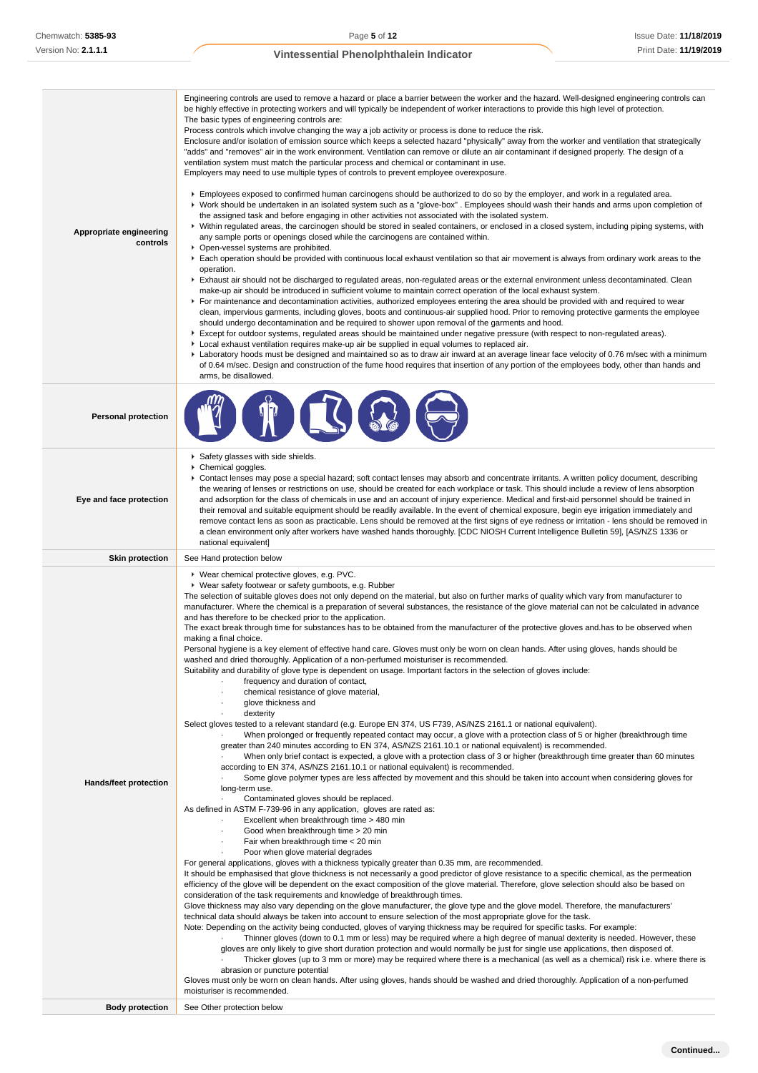| <b>Personal protection</b><br>Safety glasses with side shields.<br>Chemical goggles.<br>▶ Contact lenses may pose a special hazard; soft contact lenses may absorb and concentrate irritants. A written policy document, describing<br>the wearing of lenses or restrictions on use, should be created for each workplace or task. This should include a review of lens absorption<br>Eye and face protection<br>and adsorption for the class of chemicals in use and an account of injury experience. Medical and first-aid personnel should be trained in<br>their removal and suitable equipment should be readily available. In the event of chemical exposure, begin eye irrigation immediately and<br>remove contact lens as soon as practicable. Lens should be removed at the first signs of eye redness or irritation - lens should be removed in<br>a clean environment only after workers have washed hands thoroughly. [CDC NIOSH Current Intelligence Bulletin 59], [AS/NZS 1336 or<br>national equivalent]<br><b>Skin protection</b><br>See Hand protection below<br>▶ Wear chemical protective gloves, e.g. PVC.<br>▶ Wear safety footwear or safety gumboots, e.g. Rubber<br>The selection of suitable gloves does not only depend on the material, but also on further marks of quality which vary from manufacturer to<br>manufacturer. Where the chemical is a preparation of several substances, the resistance of the glove material can not be calculated in advance<br>and has therefore to be checked prior to the application.<br>The exact break through time for substances has to be obtained from the manufacturer of the protective gloves and has to be observed when<br>making a final choice.<br>Personal hygiene is a key element of effective hand care. Gloves must only be worn on clean hands. After using gloves, hands should be<br>washed and dried thoroughly. Application of a non-perfumed moisturiser is recommended.<br>Suitability and durability of glove type is dependent on usage. Important factors in the selection of gloves include:<br>frequency and duration of contact,<br>chemical resistance of glove material,<br>glove thickness and<br>dexterity<br>Select gloves tested to a relevant standard (e.g. Europe EN 374, US F739, AS/NZS 2161.1 or national equivalent).<br>When prolonged or frequently repeated contact may occur, a glove with a protection class of 5 or higher (breakthrough time<br>greater than 240 minutes according to EN 374, AS/NZS 2161.10.1 or national equivalent) is recommended.<br>When only brief contact is expected, a glove with a protection class of 3 or higher (breakthrough time greater than 60 minutes<br>according to EN 374, AS/NZS 2161.10.1 or national equivalent) is recommended.<br>Some glove polymer types are less affected by movement and this should be taken into account when considering gloves for<br>Hands/feet protection<br>long-term use.<br>Contaminated gloves should be replaced.<br>As defined in ASTM F-739-96 in any application, gloves are rated as:<br>Excellent when breakthrough time > 480 min<br>Good when breakthrough time > 20 min<br>$\cdot$<br>Fair when breakthrough time < 20 min<br>Poor when glove material degrades<br>For general applications, gloves with a thickness typically greater than 0.35 mm, are recommended.<br>It should be emphasised that glove thickness is not necessarily a good predictor of glove resistance to a specific chemical, as the permeation<br>efficiency of the glove will be dependent on the exact composition of the glove material. Therefore, glove selection should also be based on<br>consideration of the task requirements and knowledge of breakthrough times.<br>Glove thickness may also vary depending on the glove manufacturer, the glove type and the glove model. Therefore, the manufacturers'<br>technical data should always be taken into account to ensure selection of the most appropriate glove for the task.<br>Note: Depending on the activity being conducted, gloves of varying thickness may be required for specific tasks. For example:<br>Thinner gloves (down to 0.1 mm or less) may be required where a high degree of manual dexterity is needed. However, these<br>gloves are only likely to give short duration protection and would normally be just for single use applications, then disposed of.<br>Thicker gloves (up to 3 mm or more) may be required where there is a mechanical (as well as a chemical) risk i.e. where there is<br>abrasion or puncture potential<br>Gloves must only be worn on clean hands. After using gloves, hands should be washed and dried thoroughly. Application of a non-perfumed<br>moisturiser is recommended. | Appropriate engineering<br>controls | Engineering controls are used to remove a hazard or place a barrier between the worker and the hazard. Well-designed engineering controls can<br>be highly effective in protecting workers and will typically be independent of worker interactions to provide this high level of protection.<br>The basic types of engineering controls are:<br>Process controls which involve changing the way a job activity or process is done to reduce the risk.<br>Enclosure and/or isolation of emission source which keeps a selected hazard "physically" away from the worker and ventilation that strategically<br>"adds" and "removes" air in the work environment. Ventilation can remove or dilute an air contaminant if designed properly. The design of a<br>ventilation system must match the particular process and chemical or contaminant in use.<br>Employers may need to use multiple types of controls to prevent employee overexposure.<br>Employees exposed to confirmed human carcinogens should be authorized to do so by the employer, and work in a regulated area.<br>▶ Work should be undertaken in an isolated system such as a "glove-box". Employees should wash their hands and arms upon completion of<br>the assigned task and before engaging in other activities not associated with the isolated system.<br>▶ Within regulated areas, the carcinogen should be stored in sealed containers, or enclosed in a closed system, including piping systems, with<br>any sample ports or openings closed while the carcinogens are contained within.<br>• Open-vessel systems are prohibited.<br>Each operation should be provided with continuous local exhaust ventilation so that air movement is always from ordinary work areas to the<br>operation.<br>Exhaust air should not be discharged to regulated areas, non-regulated areas or the external environment unless decontaminated. Clean<br>make-up air should be introduced in sufficient volume to maintain correct operation of the local exhaust system.<br>For maintenance and decontamination activities, authorized employees entering the area should be provided with and required to wear<br>clean, impervious garments, including gloves, boots and continuous-air supplied hood. Prior to removing protective garments the employee<br>should undergo decontamination and be required to shower upon removal of the garments and hood.<br>▶ Except for outdoor systems, regulated areas should be maintained under negative pressure (with respect to non-regulated areas).<br>▶ Local exhaust ventilation requires make-up air be supplied in equal volumes to replaced air.<br>Laboratory hoods must be designed and maintained so as to draw air inward at an average linear face velocity of 0.76 m/sec with a minimum<br>of 0.64 m/sec. Design and construction of the fume hood requires that insertion of any portion of the employees body, other than hands and<br>arms, be disallowed. |
|---------------------------------------------------------------------------------------------------------------------------------------------------------------------------------------------------------------------------------------------------------------------------------------------------------------------------------------------------------------------------------------------------------------------------------------------------------------------------------------------------------------------------------------------------------------------------------------------------------------------------------------------------------------------------------------------------------------------------------------------------------------------------------------------------------------------------------------------------------------------------------------------------------------------------------------------------------------------------------------------------------------------------------------------------------------------------------------------------------------------------------------------------------------------------------------------------------------------------------------------------------------------------------------------------------------------------------------------------------------------------------------------------------------------------------------------------------------------------------------------------------------------------------------------------------------------------------------------------------------------------------------------------------------------------------------------------------------------------------------------------------------------------------------------------------------------------------------------------------------------------------------------------------------------------------------------------------------------------------------------------------------------------------------------------------------------------------------------------------------------------------------------------------------------------------------------------------------------------------------------------------------------------------------------------------------------------------------------------------------------------------------------------------------------------------------------------------------------------------------------------------------------------------------------------------------------------------------------------------------------------------------------------------------------------------------------------------------------------------------------------------------------------------------------------------------------------------------------------------------------------------------------------------------------------------------------------------------------------------------------------------------------------------------------------------------------------------------------------------------------------------------------------------------------------------------------------------------------------------------------------------------------------------------------------------------------------------------------------------------------------------------------------------------------------------------------------------------------------------------------------------------------------------------------------------------------------------------------------------------------------------------------------------------------------------------------------------------------------------------------------------------------------------------------------------------------------------------------------------------------------------------------------------------------------------------------------------------------------------------------------------------------------------------------------------------------------------------------------------------------------------------------------------------------------------------------------------------------------------------------------------------------------------------------------------------------------------------------------------------------------------------------------------------------------------------------------------------------------------------------------------------------------------------------------------------------------------------------------------------------------------------------------------------------------------------------------------------------------------------------------------------------------------|-------------------------------------|-----------------------------------------------------------------------------------------------------------------------------------------------------------------------------------------------------------------------------------------------------------------------------------------------------------------------------------------------------------------------------------------------------------------------------------------------------------------------------------------------------------------------------------------------------------------------------------------------------------------------------------------------------------------------------------------------------------------------------------------------------------------------------------------------------------------------------------------------------------------------------------------------------------------------------------------------------------------------------------------------------------------------------------------------------------------------------------------------------------------------------------------------------------------------------------------------------------------------------------------------------------------------------------------------------------------------------------------------------------------------------------------------------------------------------------------------------------------------------------------------------------------------------------------------------------------------------------------------------------------------------------------------------------------------------------------------------------------------------------------------------------------------------------------------------------------------------------------------------------------------------------------------------------------------------------------------------------------------------------------------------------------------------------------------------------------------------------------------------------------------------------------------------------------------------------------------------------------------------------------------------------------------------------------------------------------------------------------------------------------------------------------------------------------------------------------------------------------------------------------------------------------------------------------------------------------------------------------------------------------------------------------------------------------------------------------------------------------------------------------------------------------------------------------------------------------------------------------------------------------------------------------------------------------------------------------------------------------------------------------|
|                                                                                                                                                                                                                                                                                                                                                                                                                                                                                                                                                                                                                                                                                                                                                                                                                                                                                                                                                                                                                                                                                                                                                                                                                                                                                                                                                                                                                                                                                                                                                                                                                                                                                                                                                                                                                                                                                                                                                                                                                                                                                                                                                                                                                                                                                                                                                                                                                                                                                                                                                                                                                                                                                                                                                                                                                                                                                                                                                                                                                                                                                                                                                                                                                                                                                                                                                                                                                                                                                                                                                                                                                                                                                                                                                                                                                                                                                                                                                                                                                                                                                                                                                                                                                                                                                                                                                                                                                                                                                                                                                                                                                                                                                                                                                                                 |                                     |                                                                                                                                                                                                                                                                                                                                                                                                                                                                                                                                                                                                                                                                                                                                                                                                                                                                                                                                                                                                                                                                                                                                                                                                                                                                                                                                                                                                                                                                                                                                                                                                                                                                                                                                                                                                                                                                                                                                                                                                                                                                                                                                                                                                                                                                                                                                                                                                                                                                                                                                                                                                                                                                                                                                                                                                                                                                                                                                                                                         |
|                                                                                                                                                                                                                                                                                                                                                                                                                                                                                                                                                                                                                                                                                                                                                                                                                                                                                                                                                                                                                                                                                                                                                                                                                                                                                                                                                                                                                                                                                                                                                                                                                                                                                                                                                                                                                                                                                                                                                                                                                                                                                                                                                                                                                                                                                                                                                                                                                                                                                                                                                                                                                                                                                                                                                                                                                                                                                                                                                                                                                                                                                                                                                                                                                                                                                                                                                                                                                                                                                                                                                                                                                                                                                                                                                                                                                                                                                                                                                                                                                                                                                                                                                                                                                                                                                                                                                                                                                                                                                                                                                                                                                                                                                                                                                                                 |                                     |                                                                                                                                                                                                                                                                                                                                                                                                                                                                                                                                                                                                                                                                                                                                                                                                                                                                                                                                                                                                                                                                                                                                                                                                                                                                                                                                                                                                                                                                                                                                                                                                                                                                                                                                                                                                                                                                                                                                                                                                                                                                                                                                                                                                                                                                                                                                                                                                                                                                                                                                                                                                                                                                                                                                                                                                                                                                                                                                                                                         |
|                                                                                                                                                                                                                                                                                                                                                                                                                                                                                                                                                                                                                                                                                                                                                                                                                                                                                                                                                                                                                                                                                                                                                                                                                                                                                                                                                                                                                                                                                                                                                                                                                                                                                                                                                                                                                                                                                                                                                                                                                                                                                                                                                                                                                                                                                                                                                                                                                                                                                                                                                                                                                                                                                                                                                                                                                                                                                                                                                                                                                                                                                                                                                                                                                                                                                                                                                                                                                                                                                                                                                                                                                                                                                                                                                                                                                                                                                                                                                                                                                                                                                                                                                                                                                                                                                                                                                                                                                                                                                                                                                                                                                                                                                                                                                                                 |                                     |                                                                                                                                                                                                                                                                                                                                                                                                                                                                                                                                                                                                                                                                                                                                                                                                                                                                                                                                                                                                                                                                                                                                                                                                                                                                                                                                                                                                                                                                                                                                                                                                                                                                                                                                                                                                                                                                                                                                                                                                                                                                                                                                                                                                                                                                                                                                                                                                                                                                                                                                                                                                                                                                                                                                                                                                                                                                                                                                                                                         |
| <b>Body protection</b><br>See Other protection below                                                                                                                                                                                                                                                                                                                                                                                                                                                                                                                                                                                                                                                                                                                                                                                                                                                                                                                                                                                                                                                                                                                                                                                                                                                                                                                                                                                                                                                                                                                                                                                                                                                                                                                                                                                                                                                                                                                                                                                                                                                                                                                                                                                                                                                                                                                                                                                                                                                                                                                                                                                                                                                                                                                                                                                                                                                                                                                                                                                                                                                                                                                                                                                                                                                                                                                                                                                                                                                                                                                                                                                                                                                                                                                                                                                                                                                                                                                                                                                                                                                                                                                                                                                                                                                                                                                                                                                                                                                                                                                                                                                                                                                                                                                            |                                     |                                                                                                                                                                                                                                                                                                                                                                                                                                                                                                                                                                                                                                                                                                                                                                                                                                                                                                                                                                                                                                                                                                                                                                                                                                                                                                                                                                                                                                                                                                                                                                                                                                                                                                                                                                                                                                                                                                                                                                                                                                                                                                                                                                                                                                                                                                                                                                                                                                                                                                                                                                                                                                                                                                                                                                                                                                                                                                                                                                                         |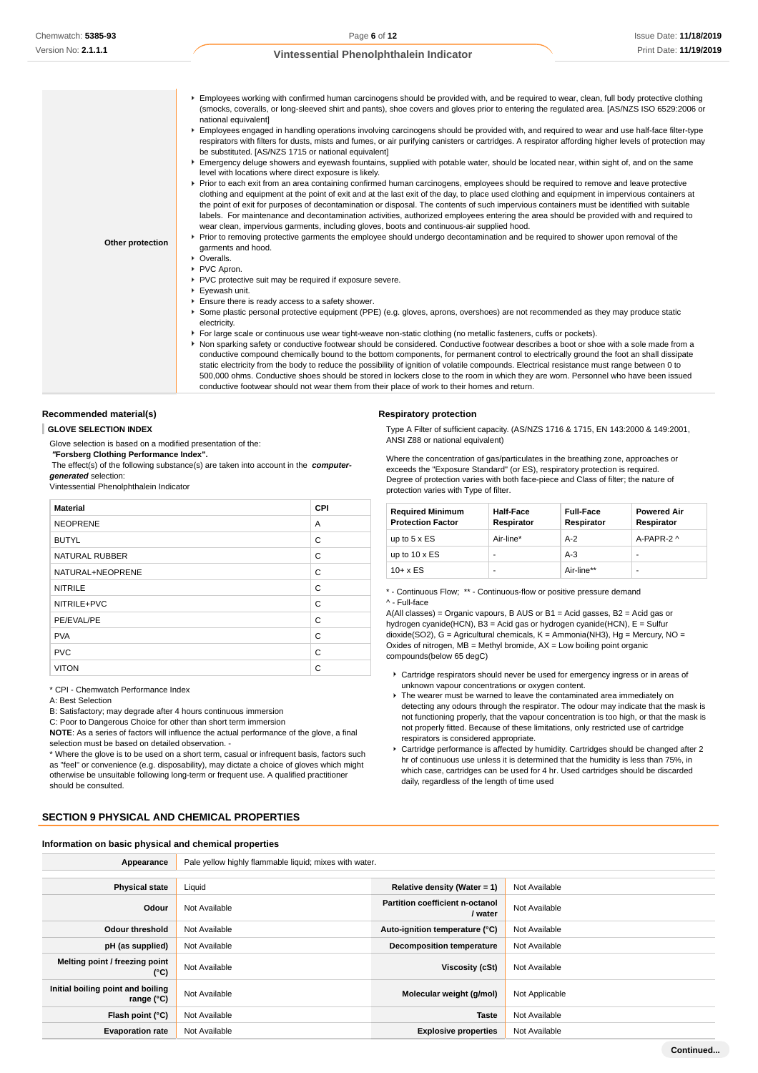| Other protection | Employees working with confirmed human carcinogens should be provided with, and be required to wear, clean, full body protective clothing<br>(smocks, coveralls, or long-sleeved shirt and pants), shoe covers and gloves prior to entering the regulated area. [AS/NZS ISO 6529:2006 or<br>national equivalent]<br>Employees engaged in handling operations involving carcinogens should be provided with, and required to wear and use half-face filter-type<br>respirators with filters for dusts, mists and fumes, or air purifying canisters or cartridges. A respirator affording higher levels of protection may<br>be substituted. [AS/NZS 1715 or national equivalent]<br>Emergency deluge showers and eyewash fountains, supplied with potable water, should be located near, within sight of, and on the same<br>level with locations where direct exposure is likely.<br>▶ Prior to each exit from an area containing confirmed human carcinogens, employees should be required to remove and leave protective<br>clothing and equipment at the point of exit and at the last exit of the day, to place used clothing and equipment in impervious containers at<br>the point of exit for purposes of decontamination or disposal. The contents of such impervious containers must be identified with suitable<br>labels. For maintenance and decontamination activities, authorized employees entering the area should be provided with and required to<br>wear clean, impervious garments, including gloves, boots and continuous-air supplied hood.<br>▶ Prior to removing protective garments the employee should undergo decontamination and be required to shower upon removal of the<br>garments and hood.<br>$\triangleright$ Overalls.<br>▶ PVC Apron.<br>▶ PVC protective suit may be required if exposure severe.<br>Eyewash unit.<br>Ensure there is ready access to a safety shower.<br>▶ Some plastic personal protective equipment (PPE) (e.g. gloves, aprons, overshoes) are not recommended as they may produce static<br>electricity.<br>For large scale or continuous use wear tight-weave non-static clothing (no metallic fasteners, cuffs or pockets).<br>▶ Non sparking safety or conductive footwear should be considered. Conductive footwear describes a boot or shoe with a sole made from a<br>conductive compound chemically bound to the bottom components, for permanent control to electrically ground the foot an shall dissipate<br>static electricity from the body to reduce the possibility of ignition of volatile compounds. Electrical resistance must range between 0 to<br>500,000 ohms. Conductive shoes should be stored in lockers close to the room in which they are worn. Personnel who have been issued<br>conductive footwear should not wear them from their place of work to their homes and return. |
|------------------|---------------------------------------------------------------------------------------------------------------------------------------------------------------------------------------------------------------------------------------------------------------------------------------------------------------------------------------------------------------------------------------------------------------------------------------------------------------------------------------------------------------------------------------------------------------------------------------------------------------------------------------------------------------------------------------------------------------------------------------------------------------------------------------------------------------------------------------------------------------------------------------------------------------------------------------------------------------------------------------------------------------------------------------------------------------------------------------------------------------------------------------------------------------------------------------------------------------------------------------------------------------------------------------------------------------------------------------------------------------------------------------------------------------------------------------------------------------------------------------------------------------------------------------------------------------------------------------------------------------------------------------------------------------------------------------------------------------------------------------------------------------------------------------------------------------------------------------------------------------------------------------------------------------------------------------------------------------------------------------------------------------------------------------------------------------------------------------------------------------------------------------------------------------------------------------------------------------------------------------------------------------------------------------------------------------------------------------------------------------------------------------------------------------------------------------------------------------------------------------------------------------------------------------------------------------------------------------------------------------------------------------------------------------------------------------------------------------------------------------------------------------------------------------------------------------------------------------------------------------------|

## **Recommended material(s)**

**GLOVE SELECTION INDEX**

Glove selection is based on a modified presentation of the:

 **"Forsberg Clothing Performance Index".**

 The effect(s) of the following substance(s) are taken into account in the **computergenerated** selection:

Vintessential Phenolphthalein Indicator

| <b>Material</b>       | CPI |
|-----------------------|-----|
| <b>NEOPRENE</b>       | A   |
| <b>BUTYL</b>          | C   |
| <b>NATURAL RUBBER</b> | C   |
| NATURAL+NEOPRENE      | C   |
| <b>NITRILE</b>        | C   |
| NITRILE+PVC           | C   |
| PE/EVAL/PE            | C   |
| <b>PVA</b>            | C   |
| <b>PVC</b>            | C   |
| <b>VITON</b>          | C   |

\* CPI - Chemwatch Performance Index

A: Best Selection

B: Satisfactory; may degrade after 4 hours continuous immersion

C: Poor to Dangerous Choice for other than short term immersion

**NOTE**: As a series of factors will influence the actual performance of the glove, a final selection must be based on detailed observation. -

\* Where the glove is to be used on a short term, casual or infrequent basis, factors such as "feel" or convenience (e.g. disposability), may dictate a choice of gloves which might otherwise be unsuitable following long-term or frequent use. A qualified practitioner should be consulted.

## **SECTION 9 PHYSICAL AND CHEMICAL PROPERTIES**

#### **Information on basic physical and chemical properties**

**Appearance** Pale yellow highly flammable liquid; mixes with water. **Physical state** Liquid **Relative density (Water = 1)** Not Available **Odour** Not Available **Partition coefficient n-octanol**<br> **Partition coefficient n-octanol Not Available Odour threshold** Not Available **Auto-ignition temperature (°C)** Not Available **pH (as supplied)** Not Available **Decomposition temperature** Not Available **Melting point / freezing point CONFIDENTIAL CONFIDENTIAL CONFIDENTIAL CONFIDENTIAL CONFIDENTIAL Viscosity (cSt)** Not Available **Initial boiling point and boiling range (°C)** Not Available **Molecular weight (g/mol)** Not Applicable **range (°C)** Not Applicable **Flash point (°C)** Not Available **Taste** Not Available **Evaporation rate** Not Available **Explosive properties** Not Available

**Respiratory protection**

Type A Filter of sufficient capacity. (AS/NZS 1716 & 1715, EN 143:2000 & 149:2001, ANSI Z88 or national equivalent)

Where the concentration of gas/particulates in the breathing zone, approaches or exceeds the "Exposure Standard" (or ES), respiratory protection is required. Degree of protection varies with both face-piece and Class of filter; the nature of protection varies with Type of filter.

| <b>Required Minimum</b><br><b>Protection Factor</b> | <b>Half-Face</b><br>Respirator | <b>Full-Face</b><br>Respirator | <b>Powered Air</b><br>Respirator |
|-----------------------------------------------------|--------------------------------|--------------------------------|----------------------------------|
| up to $5 \times ES$                                 | Air-line*                      | $A-2$                          | $A-PAPR-2$ ^                     |
| up to $10 \times ES$                                |                                | $A-3$                          | -                                |
| $10+ x ES$                                          |                                | Air-line**                     | -                                |

#### \* - Continuous Flow; \*\* - Continuous-flow or positive pressure demand ^ - Full-face

A(All classes) = Organic vapours, B AUS or B1 = Acid gasses, B2 = Acid gas or hydrogen cyanide(HCN), B3 = Acid gas or hydrogen cyanide(HCN), E = Sulfur dioxide(SO2), G = Agricultural chemicals, K = Ammonia(NH3), Hg = Mercury, NO = Oxides of nitrogen,  $MB = M$ ethyl bromide,  $AX = Low$  boiling point organic compounds(below 65 degC)

- Cartridge respirators should never be used for emergency ingress or in areas of unknown vapour concentrations or oxygen content.
- ► The wearer must be warned to leave the contaminated area immediately on detecting any odours through the respirator. The odour may indicate that the mask is not functioning properly, that the vapour concentration is too high, or that the mask is not properly fitted. Because of these limitations, only restricted use of cartridge respirators is considered appropriate.
- Cartridge performance is affected by humidity. Cartridges should be changed after 2 hr of continuous use unless it is determined that the humidity is less than 75%, in which case, cartridges can be used for 4 hr. Used cartridges should be discarded daily, regardless of the length of time used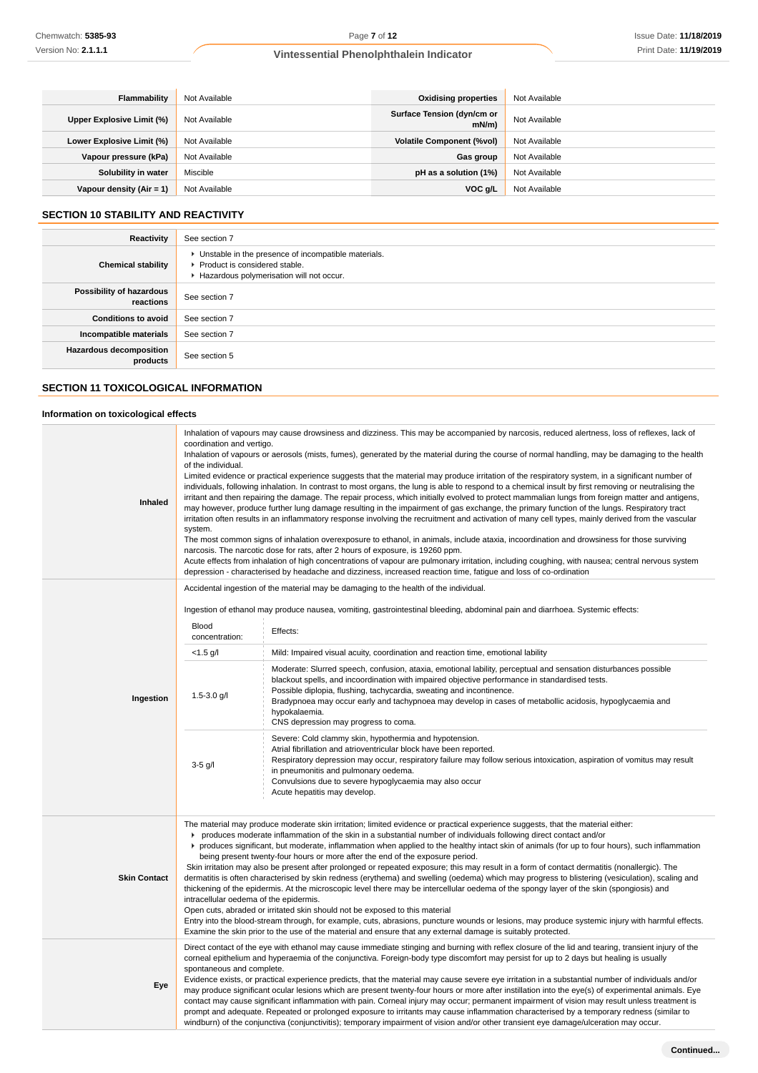| <b>Flammability</b>       | Not Available | <b>Oxidising properties</b>            | Not Available |
|---------------------------|---------------|----------------------------------------|---------------|
| Upper Explosive Limit (%) | Not Available | Surface Tension (dyn/cm or<br>$mN/m$ ) | Not Available |
| Lower Explosive Limit (%) | Not Available | <b>Volatile Component (%vol)</b>       | Not Available |
| Vapour pressure (kPa)     | Not Available | Gas group                              | Not Available |
| Solubility in water       | Miscible      | pH as a solution (1%)                  | Not Available |
| Vapour density (Air = 1)  | Not Available | VOC g/L                                | Not Available |

# **SECTION 10 STABILITY AND REACTIVITY**

| Reactivity                                 | See section 7                                                                                                                      |
|--------------------------------------------|------------------------------------------------------------------------------------------------------------------------------------|
| <b>Chemical stability</b>                  | • Unstable in the presence of incompatible materials.<br>Product is considered stable.<br>Hazardous polymerisation will not occur. |
| Possibility of hazardous<br>reactions      | See section 7                                                                                                                      |
| <b>Conditions to avoid</b>                 | See section 7                                                                                                                      |
| Incompatible materials                     | See section 7                                                                                                                      |
| <b>Hazardous decomposition</b><br>products | See section 5                                                                                                                      |

# **SECTION 11 TOXICOLOGICAL INFORMATION**

## **Information on toxicological effects**

| <b>Inhaled</b>      | Inhalation of vapours may cause drowsiness and dizziness. This may be accompanied by narcosis, reduced alertness, loss of reflexes, lack of<br>coordination and vertigo.<br>Inhalation of vapours or aerosols (mists, fumes), generated by the material during the course of normal handling, may be damaging to the health<br>of the individual.<br>Limited evidence or practical experience suggests that the material may produce irritation of the respiratory system, in a significant number of<br>individuals, following inhalation. In contrast to most organs, the lung is able to respond to a chemical insult by first removing or neutralising the<br>irritant and then repairing the damage. The repair process, which initially evolved to protect mammalian lungs from foreign matter and antigens,<br>may however, produce further lung damage resulting in the impairment of gas exchange, the primary function of the lungs. Respiratory tract<br>irritation often results in an inflammatory response involving the recruitment and activation of many cell types, mainly derived from the vascular<br>system.<br>The most common signs of inhalation overexposure to ethanol, in animals, include ataxia, incoordination and drowsiness for those surviving<br>narcosis. The narcotic dose for rats, after 2 hours of exposure, is 19260 ppm.<br>Acute effects from inhalation of high concentrations of vapour are pulmonary irritation, including coughing, with nausea; central nervous system<br>depression - characterised by headache and dizziness, increased reaction time, fatigue and loss of co-ordination |                                                                                                                                                                                                                                                                                                                                                                                           |
|---------------------|-------------------------------------------------------------------------------------------------------------------------------------------------------------------------------------------------------------------------------------------------------------------------------------------------------------------------------------------------------------------------------------------------------------------------------------------------------------------------------------------------------------------------------------------------------------------------------------------------------------------------------------------------------------------------------------------------------------------------------------------------------------------------------------------------------------------------------------------------------------------------------------------------------------------------------------------------------------------------------------------------------------------------------------------------------------------------------------------------------------------------------------------------------------------------------------------------------------------------------------------------------------------------------------------------------------------------------------------------------------------------------------------------------------------------------------------------------------------------------------------------------------------------------------------------------------------------------------------------------------------------------------------|-------------------------------------------------------------------------------------------------------------------------------------------------------------------------------------------------------------------------------------------------------------------------------------------------------------------------------------------------------------------------------------------|
|                     |                                                                                                                                                                                                                                                                                                                                                                                                                                                                                                                                                                                                                                                                                                                                                                                                                                                                                                                                                                                                                                                                                                                                                                                                                                                                                                                                                                                                                                                                                                                                                                                                                                           | Accidental ingestion of the material may be damaging to the health of the individual.                                                                                                                                                                                                                                                                                                     |
|                     |                                                                                                                                                                                                                                                                                                                                                                                                                                                                                                                                                                                                                                                                                                                                                                                                                                                                                                                                                                                                                                                                                                                                                                                                                                                                                                                                                                                                                                                                                                                                                                                                                                           | Ingestion of ethanol may produce nausea, vomiting, gastrointestinal bleeding, abdominal pain and diarrhoea. Systemic effects:                                                                                                                                                                                                                                                             |
|                     | <b>Blood</b><br>concentration:                                                                                                                                                                                                                                                                                                                                                                                                                                                                                                                                                                                                                                                                                                                                                                                                                                                                                                                                                                                                                                                                                                                                                                                                                                                                                                                                                                                                                                                                                                                                                                                                            | Effects:                                                                                                                                                                                                                                                                                                                                                                                  |
|                     | $<$ 1.5 g/l                                                                                                                                                                                                                                                                                                                                                                                                                                                                                                                                                                                                                                                                                                                                                                                                                                                                                                                                                                                                                                                                                                                                                                                                                                                                                                                                                                                                                                                                                                                                                                                                                               | Mild: Impaired visual acuity, coordination and reaction time, emotional lability                                                                                                                                                                                                                                                                                                          |
| Ingestion           | Moderate: Slurred speech, confusion, ataxia, emotional lability, perceptual and sensation disturbances possible<br>blackout spells, and incoordination with impaired objective performance in standardised tests.<br>Possible diplopia, flushing, tachycardia, sweating and incontinence.<br>$1.5 - 3.0$ g/l<br>Bradypnoea may occur early and tachypnoea may develop in cases of metabollic acidosis, hypoglycaemia and<br>hypokalaemia.<br>CNS depression may progress to coma.                                                                                                                                                                                                                                                                                                                                                                                                                                                                                                                                                                                                                                                                                                                                                                                                                                                                                                                                                                                                                                                                                                                                                         |                                                                                                                                                                                                                                                                                                                                                                                           |
|                     | $3-5$ g/l                                                                                                                                                                                                                                                                                                                                                                                                                                                                                                                                                                                                                                                                                                                                                                                                                                                                                                                                                                                                                                                                                                                                                                                                                                                                                                                                                                                                                                                                                                                                                                                                                                 | Severe: Cold clammy skin, hypothermia and hypotension.<br>Atrial fibrillation and atrioventricular block have been reported.<br>Respiratory depression may occur, respiratory failure may follow serious intoxication, aspiration of vomitus may result<br>in pneumonitis and pulmonary oedema.<br>Convulsions due to severe hypoglycaemia may also occur<br>Acute hepatitis may develop. |
|                     | The material may produce moderate skin irritation; limited evidence or practical experience suggests, that the material either:<br>produces moderate inflammation of the skin in a substantial number of individuals following direct contact and/or<br>▶ produces significant, but moderate, inflammation when applied to the healthy intact skin of animals (for up to four hours), such inflammation<br>being present twenty-four hours or more after the end of the exposure period.<br>Skin irritation may also be present after prolonged or repeated exposure; this may result in a form of contact dermatitis (nonallergic). The                                                                                                                                                                                                                                                                                                                                                                                                                                                                                                                                                                                                                                                                                                                                                                                                                                                                                                                                                                                                  |                                                                                                                                                                                                                                                                                                                                                                                           |
| <b>Skin Contact</b> | dermatitis is often characterised by skin redness (erythema) and swelling (oedema) which may progress to blistering (vesiculation), scaling and<br>thickening of the epidermis. At the microscopic level there may be intercellular oedema of the spongy layer of the skin (spongiosis) and<br>intracellular oedema of the epidermis.<br>Open cuts, abraded or irritated skin should not be exposed to this material<br>Entry into the blood-stream through, for example, cuts, abrasions, puncture wounds or lesions, may produce systemic injury with harmful effects.<br>Examine the skin prior to the use of the material and ensure that any external damage is suitably protected.                                                                                                                                                                                                                                                                                                                                                                                                                                                                                                                                                                                                                                                                                                                                                                                                                                                                                                                                                  |                                                                                                                                                                                                                                                                                                                                                                                           |
| Eye                 | Direct contact of the eye with ethanol may cause immediate stinging and burning with reflex closure of the lid and tearing, transient injury of the<br>corneal epithelium and hyperaemia of the conjunctiva. Foreign-body type discomfort may persist for up to 2 days but healing is usually<br>spontaneous and complete.<br>Evidence exists, or practical experience predicts, that the material may cause severe eye irritation in a substantial number of individuals and/or<br>may produce significant ocular lesions which are present twenty-four hours or more after instillation into the eye(s) of experimental animals. Eye<br>contact may cause significant inflammation with pain. Corneal injury may occur; permanent impairment of vision may result unless treatment is<br>prompt and adequate. Repeated or prolonged exposure to irritants may cause inflammation characterised by a temporary redness (similar to<br>windburn) of the conjunctiva (conjunctivitis); temporary impairment of vision and/or other transient eye damage/ulceration may occur.                                                                                                                                                                                                                                                                                                                                                                                                                                                                                                                                                              |                                                                                                                                                                                                                                                                                                                                                                                           |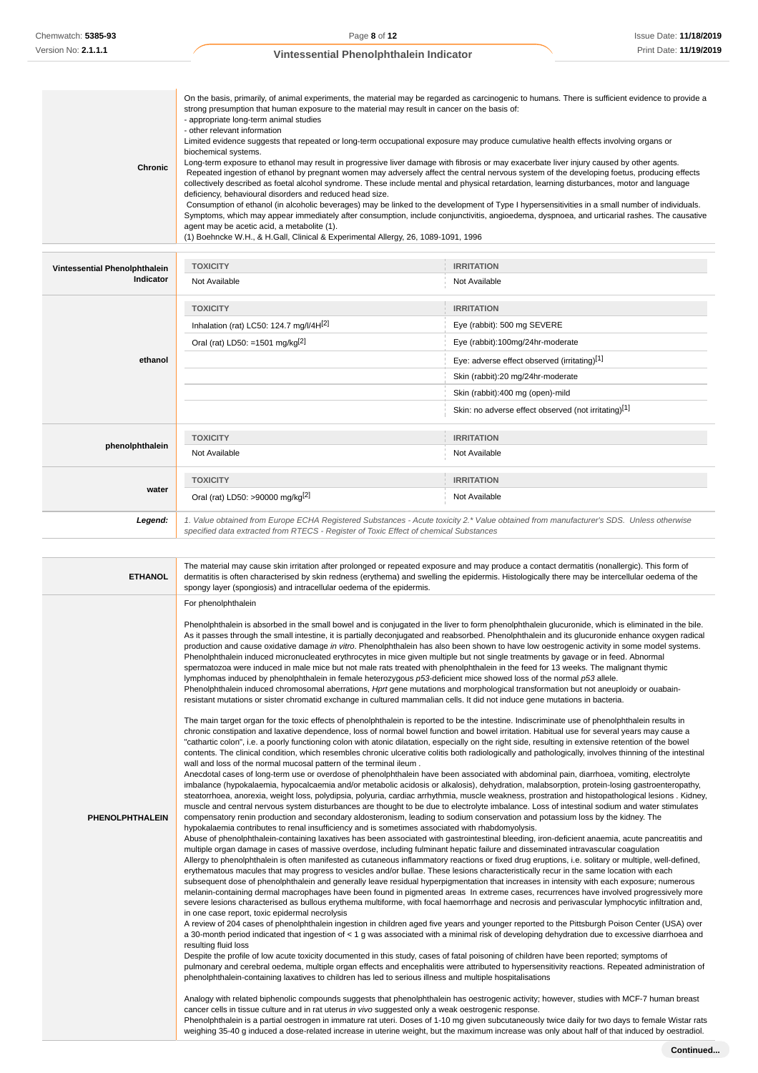|--|

| Vintessential Phenolphthalein<br>Indicator | <b>TOXICITY</b>                                                                                                                                                                                                                 | <b>IRRITATION</b>                                    |  |
|--------------------------------------------|---------------------------------------------------------------------------------------------------------------------------------------------------------------------------------------------------------------------------------|------------------------------------------------------|--|
|                                            | Not Available                                                                                                                                                                                                                   | Not Available                                        |  |
|                                            | <b>TOXICITY</b>                                                                                                                                                                                                                 | <b>IRRITATION</b>                                    |  |
|                                            | Inhalation (rat) LC50: 124.7 mg/l/4H[2]                                                                                                                                                                                         | Eye (rabbit): 500 mg SEVERE                          |  |
|                                            | Oral (rat) LD50: =1501 mg/kg <sup>[2]</sup>                                                                                                                                                                                     | Eye (rabbit):100mg/24hr-moderate                     |  |
| ethanol                                    |                                                                                                                                                                                                                                 | Eye: adverse effect observed (irritating)[1]         |  |
|                                            |                                                                                                                                                                                                                                 | Skin (rabbit):20 mg/24hr-moderate                    |  |
|                                            |                                                                                                                                                                                                                                 | Skin (rabbit):400 mg (open)-mild                     |  |
|                                            |                                                                                                                                                                                                                                 | Skin: no adverse effect observed (not irritating)[1] |  |
|                                            | <b>TOXICITY</b>                                                                                                                                                                                                                 | <b>IRRITATION</b>                                    |  |
| phenolphthalein                            | Not Available                                                                                                                                                                                                                   | Not Available                                        |  |
|                                            | <b>TOXICITY</b>                                                                                                                                                                                                                 | <b>IRRITATION</b>                                    |  |
| water                                      | Oral (rat) LD50: >90000 mg/kg <sup>[2]</sup>                                                                                                                                                                                    | Not Available                                        |  |
| Legend:                                    | 1. Value obtained from Europe ECHA Registered Substances - Acute toxicity 2.* Value obtained from manufacturer's SDS. Unless otherwise<br>specified data extracted from RTECS - Register of Toxic Effect of chemical Substances |                                                      |  |

| <b>ETHANOL</b>         | The material may cause skin irritation after prolonged or repeated exposure and may produce a contact dermatitis (nonallergic). This form of<br>dermatitis is often characterised by skin redness (erythema) and swelling the epidermis. Histologically there may be intercellular oedema of the<br>spongy layer (spongiosis) and intracellular oedema of the epidermis.                                                                                                                                                                                                                                                                                                                                                                                                                                                                                                                                                                                                                                                                                                                                                                                                                                                                                                                                                                                                                                                                                                                                                                                                                                                                                                                                                                                                                                                                                                                                                                                                                                                                                                                                                                                                                                                                                                                                                                                                                                                                                                                                                                                                                                                                                                                                                                                                                                                                                                                                                                                                                                                                                                                                                                                                                                                                                                                                                                                                                                                                                                                                                                                                                                                                                                                                                                                                                                                                                                                                                                                                                                                                                                                                                                                                                                                                                                                                                                                                                                                                                                                                                                                                                                                                                                                                                                                                                                                                                                                                                                                                                                                                                                                                      |
|------------------------|---------------------------------------------------------------------------------------------------------------------------------------------------------------------------------------------------------------------------------------------------------------------------------------------------------------------------------------------------------------------------------------------------------------------------------------------------------------------------------------------------------------------------------------------------------------------------------------------------------------------------------------------------------------------------------------------------------------------------------------------------------------------------------------------------------------------------------------------------------------------------------------------------------------------------------------------------------------------------------------------------------------------------------------------------------------------------------------------------------------------------------------------------------------------------------------------------------------------------------------------------------------------------------------------------------------------------------------------------------------------------------------------------------------------------------------------------------------------------------------------------------------------------------------------------------------------------------------------------------------------------------------------------------------------------------------------------------------------------------------------------------------------------------------------------------------------------------------------------------------------------------------------------------------------------------------------------------------------------------------------------------------------------------------------------------------------------------------------------------------------------------------------------------------------------------------------------------------------------------------------------------------------------------------------------------------------------------------------------------------------------------------------------------------------------------------------------------------------------------------------------------------------------------------------------------------------------------------------------------------------------------------------------------------------------------------------------------------------------------------------------------------------------------------------------------------------------------------------------------------------------------------------------------------------------------------------------------------------------------------------------------------------------------------------------------------------------------------------------------------------------------------------------------------------------------------------------------------------------------------------------------------------------------------------------------------------------------------------------------------------------------------------------------------------------------------------------------------------------------------------------------------------------------------------------------------------------------------------------------------------------------------------------------------------------------------------------------------------------------------------------------------------------------------------------------------------------------------------------------------------------------------------------------------------------------------------------------------------------------------------------------------------------------------------------------------------------------------------------------------------------------------------------------------------------------------------------------------------------------------------------------------------------------------------------------------------------------------------------------------------------------------------------------------------------------------------------------------------------------------------------------------------------------------------------------------------------------------------------------------------------------------------------------------------------------------------------------------------------------------------------------------------------------------------------------------------------------------------------------------------------------------------------------------------------------------------------------------------------------------------------------------------------------------------------------------------------------------------------------------|
| <b>PHENOLPHTHALEIN</b> | For phenolphthalein<br>Phenolphthalein is absorbed in the small bowel and is conjugated in the liver to form phenolphthalein glucuronide, which is eliminated in the bile.<br>As it passes through the small intestine, it is partially deconjugated and reabsorbed. Phenolphthalein and its glucuronide enhance oxygen radical<br>production and cause oxidative damage in vitro. Phenolphthalein has also been shown to have low oestrogenic activity in some model systems.<br>Phenolphthalein induced micronucleated erythrocytes in mice given multiple but not single treatments by gavage or in feed. Abnormal<br>spermatozoa were induced in male mice but not male rats treated with phenolphthalein in the feed for 13 weeks. The malignant thymic<br>lymphomas induced by phenolphthalein in female heterozygous p53-deficient mice showed loss of the normal p53 allele.<br>Phenolphthalein induced chromosomal aberrations, Hprt gene mutations and morphological transformation but not aneuploidy or ouabain-<br>resistant mutations or sister chromatid exchange in cultured mammalian cells. It did not induce gene mutations in bacteria.<br>The main target organ for the toxic effects of phenolphthalein is reported to be the intestine. Indiscriminate use of phenolphthalein results in<br>chronic constipation and laxative dependence, loss of normal bowel function and bowel irritation. Habitual use for several years may cause a<br>"cathartic colon", i.e. a poorly functioning colon with atonic dilatation, especially on the right side, resulting in extensive retention of the bowel<br>contents. The clinical condition, which resembles chronic ulcerative colitis both radiologically and pathologically, involves thinning of the intestinal<br>wall and loss of the normal mucosal pattern of the terminal ileum.<br>Anecdotal cases of long-term use or overdose of phenolphthalein have been associated with abdominal pain, diarrhoea, vomiting, electrolyte<br>imbalance (hypokalaemia, hypocalcaemia and/or metabolic acidosis or alkalosis), dehydration, malabsorption, protein-losing gastroenteropathy,<br>steatorrhoea, anorexia, weight loss, polydipsia, polyuria, cardiac arrhythmia, muscle weakness, prostration and histopathological lesions . Kidney,<br>muscle and central nervous system disturbances are thought to be due to electrolyte imbalance. Loss of intestinal sodium and water stimulates<br>compensatory renin production and secondary aldosteronism, leading to sodium conservation and potassium loss by the kidney. The<br>hypokalaemia contributes to renal insufficiency and is sometimes associated with rhabdomyolysis.<br>Abuse of phenolphthalein-containing laxatives has been associated with gastrointestinal bleeding, iron-deficient anaemia, acute pancreatitis and<br>multiple organ damage in cases of massive overdose, including fulminant hepatic failure and disseminated intravascular coagulation<br>Allergy to phenolphthalein is often manifested as cutaneous inflammatory reactions or fixed drug eruptions, i.e. solitary or multiple, well-defined,<br>erythematous macules that may progress to vesicles and/or bullae. These lesions characteristically recur in the same location with each<br>subsequent dose of phenolphthalein and generally leave residual hyperpigmentation that increases in intensity with each exposure; numerous<br>melanin-containing dermal macrophages have been found in pigmented areas In extreme cases, recurrences have involved progressively more<br>severe lesions characterised as bullous erythema multiforme, with focal haemorrhage and necrosis and perivascular lymphocytic infiltration and,<br>in one case report, toxic epidermal necrolysis<br>A review of 204 cases of phenolphthalein ingestion in children aged five years and younger reported to the Pittsburgh Poison Center (USA) over<br>a 30-month period indicated that ingestion of < 1 g was associated with a minimal risk of developing dehydration due to excessive diarrhoea and<br>resulting fluid loss<br>Despite the profile of low acute toxicity documented in this study, cases of fatal poisoning of children have been reported; symptoms of<br>pulmonary and cerebral oedema, multiple organ effects and encephalitis were attributed to hypersensitivity reactions. Repeated administration of<br>phenolphthalein-containing laxatives to children has led to serious illness and multiple hospitalisations<br>Analogy with related biphenolic compounds suggests that phenolphthalein has oestrogenic activity; however, studies with MCF-7 human breast<br>cancer cells in tissue culture and in rat uterus in vivo suggested only a weak oestrogenic response.<br>Phenolphthalein is a partial oestrogen in immature rat uteri. Doses of 1-10 mg given subcutaneously twice daily for two days to female Wistar rats<br>weighing 35-40 g induced a dose-related increase in uterine weight, but the maximum increase was only about half of that induced by oestradiol. |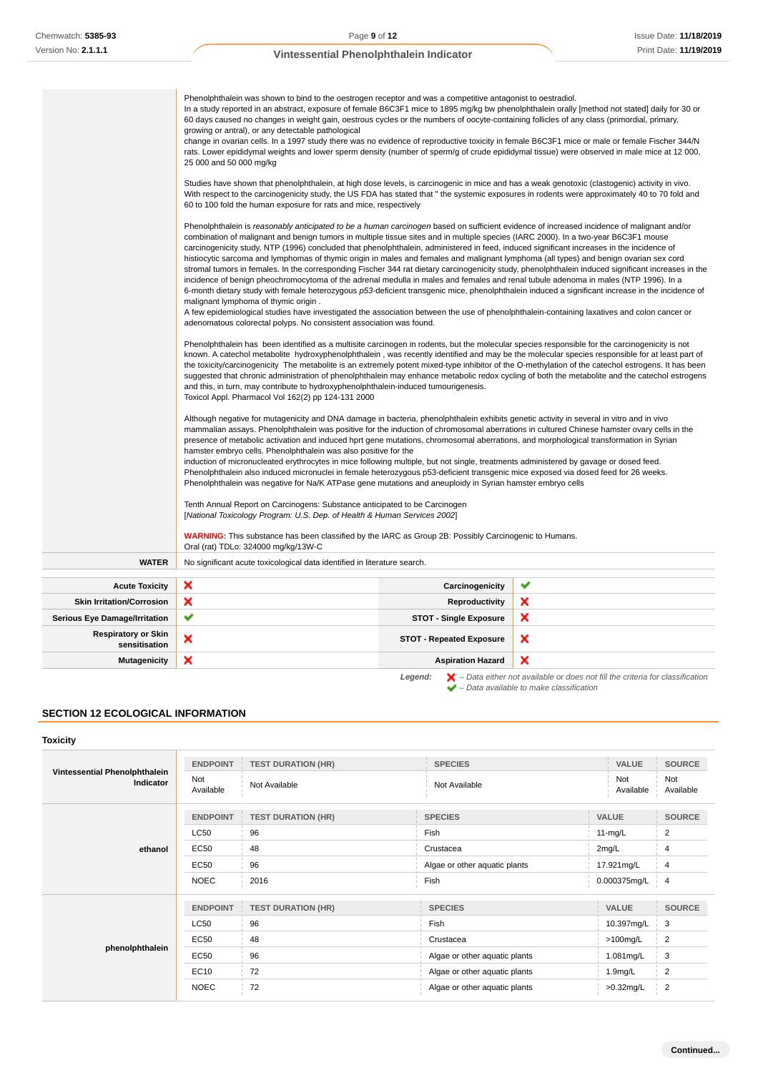|                                                           | Phenolphthalein was shown to bind to the oestrogen receptor and was a competitive antagonist to oestradiol.<br>In a study reported in an abstract, exposure of female B6C3F1 mice to 1895 mg/kg bw phenolphthalein orally [method not stated] daily for 30 or<br>60 days caused no changes in weight gain, oestrous cycles or the numbers of oocyte-containing follicles of any class (primordial, primary,<br>growing or antral), or any detectable pathological<br>change in ovarian cells. In a 1997 study there was no evidence of reproductive toxicity in female B6C3F1 mice or male or female Fischer 344/N<br>rats. Lower epididymal weights and lower sperm density (number of sperm/g of crude epididymal tissue) were observed in male mice at 12 000,<br>25 000 and 50 000 mg/kg                                                                                                                                                                                                                                                                                                                                                                                                                                                                                             |                                   |   |  |
|-----------------------------------------------------------|------------------------------------------------------------------------------------------------------------------------------------------------------------------------------------------------------------------------------------------------------------------------------------------------------------------------------------------------------------------------------------------------------------------------------------------------------------------------------------------------------------------------------------------------------------------------------------------------------------------------------------------------------------------------------------------------------------------------------------------------------------------------------------------------------------------------------------------------------------------------------------------------------------------------------------------------------------------------------------------------------------------------------------------------------------------------------------------------------------------------------------------------------------------------------------------------------------------------------------------------------------------------------------------|-----------------------------------|---|--|
|                                                           | Studies have shown that phenolphthalein, at high dose levels, is carcinogenic in mice and has a weak genotoxic (clastogenic) activity in vivo.<br>With respect to the carcinogenicity study, the US FDA has stated that "the systemic exposures in rodents were approximately 40 to 70 fold and<br>60 to 100 fold the human exposure for rats and mice, respectively                                                                                                                                                                                                                                                                                                                                                                                                                                                                                                                                                                                                                                                                                                                                                                                                                                                                                                                     |                                   |   |  |
|                                                           | Phenolphthalein is reasonably anticipated to be a human carcinogen based on sufficient evidence of increased incidence of malignant and/or<br>combination of malignant and benign tumors in multiple tissue sites and in multiple species (IARC 2000). In a two-year B6C3F1 mouse<br>carcinogenicity study, NTP (1996) concluded that phenolphthalein, administered in feed, induced significant increases in the incidence of<br>histiocytic sarcoma and lymphomas of thymic origin in males and females and malignant lymphoma (all types) and benign ovarian sex cord<br>stromal tumors in females. In the corresponding Fischer 344 rat dietary carcinogenicity study, phenolphthalein induced significant increases in the<br>incidence of benign pheochromocytoma of the adrenal medulla in males and females and renal tubule adenoma in males (NTP 1996). In a<br>6-month dietary study with female heterozygous p53-deficient transgenic mice, phenolphthalein induced a significant increase in the incidence of<br>malignant lymphoma of thymic origin.<br>A few epidemiological studies have investigated the association between the use of phenolphthalein-containing laxatives and colon cancer or<br>adenomatous colorectal polyps. No consistent association was found. |                                   |   |  |
|                                                           | Phenolphthalein has been identified as a multisite carcinogen in rodents, but the molecular species responsible for the carcinogenicity is not<br>known. A catechol metabolite hydroxyphenolphthalein, was recently identified and may be the molecular species responsible for at least part of<br>the toxicity/carcinogenicity The metabolite is an extremely potent mixed-type inhibitor of the O-methylation of the catechol estrogens. It has been<br>suggested that chronic administration of phenolphthalein may enhance metabolic redox cycling of both the metabolite and the catechol estrogens<br>and this, in turn, may contribute to hydroxyphenolphthalein-induced tumourigenesis.<br>Toxicol Appl. Pharmacol Vol 162(2) pp 124-131 2000                                                                                                                                                                                                                                                                                                                                                                                                                                                                                                                                   |                                   |   |  |
|                                                           | Although negative for mutagenicity and DNA damage in bacteria, phenolphthalein exhibits genetic activity in several in vitro and in vivo<br>mammalian assays. Phenolphthalein was positive for the induction of chromosomal aberrations in cultured Chinese hamster ovary cells in the<br>presence of metabolic activation and induced hprt gene mutations, chromosomal aberrations, and morphological transformation in Syrian<br>hamster embryo cells. Phenolphthalein was also positive for the<br>induction of micronucleated erythrocytes in mice following multiple, but not single, treatments administered by gavage or dosed feed.<br>Phenolphthalein also induced micronuclei in female heterozygous p53-deficient transgenic mice exposed via dosed feed for 26 weeks.<br>Phenolphthalein was negative for Na/K ATPase gene mutations and aneuploidy in Syrian hamster embryo cells<br>Tenth Annual Report on Carcinogens: Substance anticipated to be Carcinogen                                                                                                                                                                                                                                                                                                             |                                   |   |  |
|                                                           | [National Toxicology Program: U.S. Dep. of Health & Human Services 2002]<br><b>WARNING:</b> This substance has been classified by the IARC as Group 2B: Possibly Carcinogenic to Humans.                                                                                                                                                                                                                                                                                                                                                                                                                                                                                                                                                                                                                                                                                                                                                                                                                                                                                                                                                                                                                                                                                                 |                                   |   |  |
| <b>WATER</b>                                              | Oral (rat) TDLo: 324000 mg/kg/13W-C<br>No significant acute toxicological data identified in literature search.                                                                                                                                                                                                                                                                                                                                                                                                                                                                                                                                                                                                                                                                                                                                                                                                                                                                                                                                                                                                                                                                                                                                                                          |                                   |   |  |
|                                                           | ×                                                                                                                                                                                                                                                                                                                                                                                                                                                                                                                                                                                                                                                                                                                                                                                                                                                                                                                                                                                                                                                                                                                                                                                                                                                                                        |                                   | ✔ |  |
| <b>Acute Toxicity</b><br><b>Skin Irritation/Corrosion</b> | ×                                                                                                                                                                                                                                                                                                                                                                                                                                                                                                                                                                                                                                                                                                                                                                                                                                                                                                                                                                                                                                                                                                                                                                                                                                                                                        | Carcinogenicity<br>Reproductivity | × |  |
| <b>Serious Eye Damage/Irritation</b>                      | ✔                                                                                                                                                                                                                                                                                                                                                                                                                                                                                                                                                                                                                                                                                                                                                                                                                                                                                                                                                                                                                                                                                                                                                                                                                                                                                        | <b>STOT - Single Exposure</b>     | × |  |
| <b>Respiratory or Skin</b><br>sensitisation               | ×                                                                                                                                                                                                                                                                                                                                                                                                                                                                                                                                                                                                                                                                                                                                                                                                                                                                                                                                                                                                                                                                                                                                                                                                                                                                                        | <b>STOT - Repeated Exposure</b>   | × |  |
| <b>Mutagenicity</b>                                       | ×                                                                                                                                                                                                                                                                                                                                                                                                                                                                                                                                                                                                                                                                                                                                                                                                                                                                                                                                                                                                                                                                                                                                                                                                                                                                                        | <b>Aspiration Hazard</b>          | × |  |

# **SECTION 12 ECOLOGICAL INFORMATION**

## **Toxicity**

| Vintessential Phenolphthalein | <b>ENDPOINT</b>  | <b>TEST DURATION (HR)</b> | <b>SPECIES</b>                | <b>VALUE</b>        | <b>SOURCE</b>    |
|-------------------------------|------------------|---------------------------|-------------------------------|---------------------|------------------|
| Indicator                     | Not<br>Available | Not Available             | Not Available                 | Not<br>Available    | Not<br>Available |
|                               | <b>ENDPOINT</b>  | <b>TEST DURATION (HR)</b> | <b>SPECIES</b>                | <b>VALUE</b>        | <b>SOURCE</b>    |
|                               | <b>LC50</b>      | 96                        | Fish                          | $11-mg/L$           | 2                |
| ethanol                       | EC50             | 48                        | Crustacea                     | 2mg/L               | 4                |
|                               | EC50             | 96                        | Algae or other aquatic plants | 17.921mg/L          | $\overline{4}$   |
|                               | <b>NOEC</b>      | 2016                      | Fish                          | 0.000375mg/L        | $\overline{4}$   |
|                               | <b>ENDPOINT</b>  | <b>TEST DURATION (HR)</b> | <b>SPECIES</b>                | <b>VALUE</b>        | <b>SOURCE</b>    |
| phenolphthalein               | <b>LC50</b>      | 96                        | Fish                          | 10.397mg/L          | 3                |
|                               | EC50             | 48                        | Crustacea                     | $>100$ mg/L         | $\overline{2}$   |
|                               | <b>EC50</b>      | 96                        | Algae or other aquatic plants | 1.081mg/L           | 3                |
|                               | EC10             | 72                        | Algae or other aquatic plants | 1.9 <sub>mg/L</sub> | $\overline{2}$   |
|                               | <b>NOEC</b>      | 72                        | Algae or other aquatic plants | >0.32mg/L           | $\overline{2}$   |

**Legend:**  $\mathbf{X}$  – Data either not available or does not fill the criteria for classification

– Data available to make classification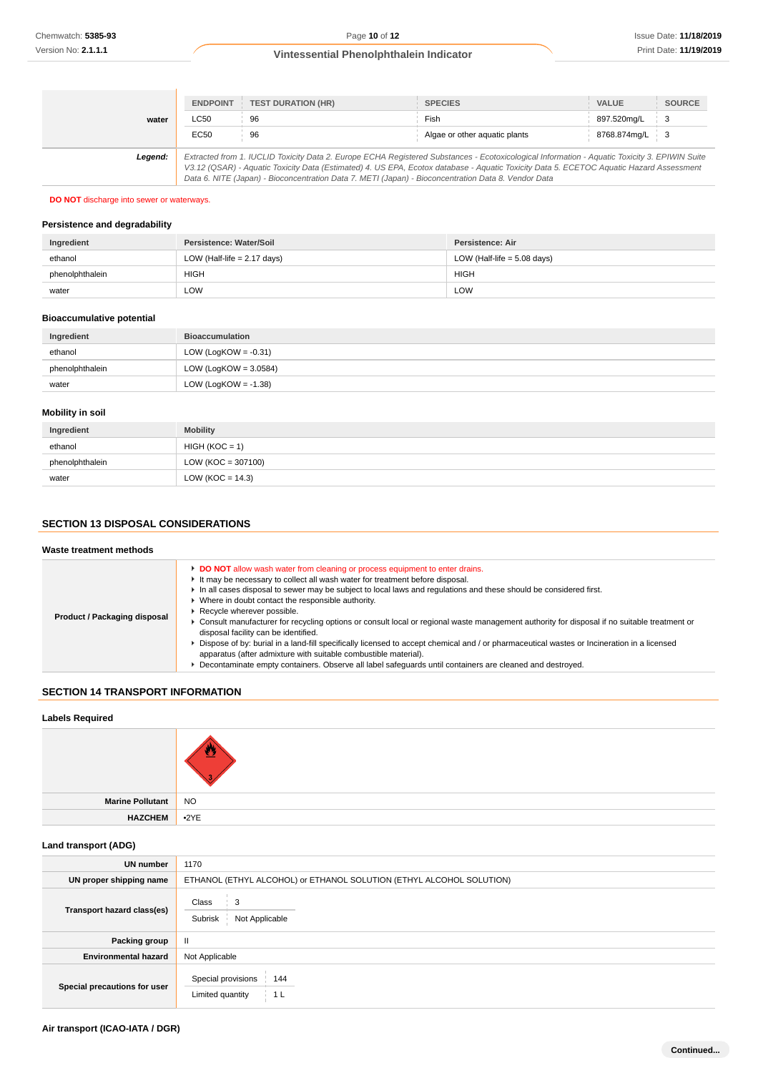|         | <b>ENDPOINT</b>                                                                                                                                                                                                                                                                                                                                                                                 | <b>TEST DURATION (HR)</b> | <b>SPECIES</b>                | <b>VALUE</b> | <b>SOURCE</b>   |
|---------|-------------------------------------------------------------------------------------------------------------------------------------------------------------------------------------------------------------------------------------------------------------------------------------------------------------------------------------------------------------------------------------------------|---------------------------|-------------------------------|--------------|-----------------|
| water   | LC50                                                                                                                                                                                                                                                                                                                                                                                            | 96                        | Fish                          | 897.520mg/L  | $\pm$ 3         |
|         | EC50                                                                                                                                                                                                                                                                                                                                                                                            | 96                        | Algae or other aquatic plants | 8768.874mg/L | $\frac{1}{2}$ 3 |
| Legend: | Extracted from 1. IUCLID Toxicity Data 2. Europe ECHA Registered Substances - Ecotoxicological Information - Aquatic Toxicity 3. EPIWIN Suite<br>V3.12 (QSAR) - Aquatic Toxicity Data (Estimated) 4. US EPA, Ecotox database - Aquatic Toxicity Data 5. ECETOC Aquatic Hazard Assessment<br>Data 6. NITE (Japan) - Bioconcentration Data 7. METI (Japan) - Bioconcentration Data 8. Vendor Data |                           |                               |              |                 |

#### **DO NOT** discharge into sewer or waterways.

## **Persistence and degradability**

| Ingredient      | Persistence: Water/Soil       | Persistence: Air              |
|-----------------|-------------------------------|-------------------------------|
| ethanol         | LOW (Half-life $= 2.17$ days) | LOW (Half-life $= 5.08$ days) |
| phenolphthalein | <b>HIGH</b>                   | <b>HIGH</b>                   |
| water           | LOW                           | LOW                           |

## **Bioaccumulative potential**

| Ingredient      | <b>Bioaccumulation</b>   |
|-----------------|--------------------------|
| ethanol         | LOW (LogKOW = $-0.31$ )  |
| phenolphthalein | LOW (LogKOW = $3.0584$ ) |
| water           | LOW (LogKOW = $-1.38$ )  |

## **Mobility in soil**

| Ingredient      | <b>Mobility</b>      |
|-----------------|----------------------|
| ethanol         | $HIGH (KOC = 1)$     |
| phenolphthalein | $LOW (KOC = 307100)$ |
| water           | LOW ( $KOC = 14.3$ ) |

# **SECTION 13 DISPOSAL CONSIDERATIONS**

## **Waste treatment methods**

| <b>DO NOT</b> allow wash water from cleaning or process equipment to enter drains.<br>It may be necessary to collect all wash water for treatment before disposal.<br>In all cases disposal to sewer may be subject to local laws and regulations and these should be considered first.<br>▶ Where in doubt contact the responsible authority.<br>Recycle wherever possible.<br>Product / Packaging disposal<br>• Consult manufacturer for recycling options or consult local or regional waste management authority for disposal if no suitable treatment or<br>disposal facility can be identified.<br>Dispose of by: burial in a land-fill specifically licensed to accept chemical and / or pharmaceutical wastes or Incineration in a licensed<br>apparatus (after admixture with suitable combustible material).<br>Decontaminate empty containers. Observe all label safequards until containers are cleaned and destroyed. |
|------------------------------------------------------------------------------------------------------------------------------------------------------------------------------------------------------------------------------------------------------------------------------------------------------------------------------------------------------------------------------------------------------------------------------------------------------------------------------------------------------------------------------------------------------------------------------------------------------------------------------------------------------------------------------------------------------------------------------------------------------------------------------------------------------------------------------------------------------------------------------------------------------------------------------------|
|------------------------------------------------------------------------------------------------------------------------------------------------------------------------------------------------------------------------------------------------------------------------------------------------------------------------------------------------------------------------------------------------------------------------------------------------------------------------------------------------------------------------------------------------------------------------------------------------------------------------------------------------------------------------------------------------------------------------------------------------------------------------------------------------------------------------------------------------------------------------------------------------------------------------------------|

# **SECTION 14 TRANSPORT INFORMATION**

## **Labels Required**

| <b>NO</b> |
|-----------|

# **Marine Pollutant HAZCHEM** •2YE

# **Land transport (ADG)**

| <b>UN</b> number             | 1170                                                                 |  |  |
|------------------------------|----------------------------------------------------------------------|--|--|
| UN proper shipping name      | ETHANOL (ETHYL ALCOHOL) or ETHANOL SOLUTION (ETHYL ALCOHOL SOLUTION) |  |  |
| Transport hazard class(es)   | Class<br>3<br>Not Applicable<br>Subrisk                              |  |  |
| Packing group                | Ш                                                                    |  |  |
| <b>Environmental hazard</b>  | Not Applicable                                                       |  |  |
| Special precautions for user | Special provisions<br>144<br>Limited quantity<br>1 <sub>L</sub>      |  |  |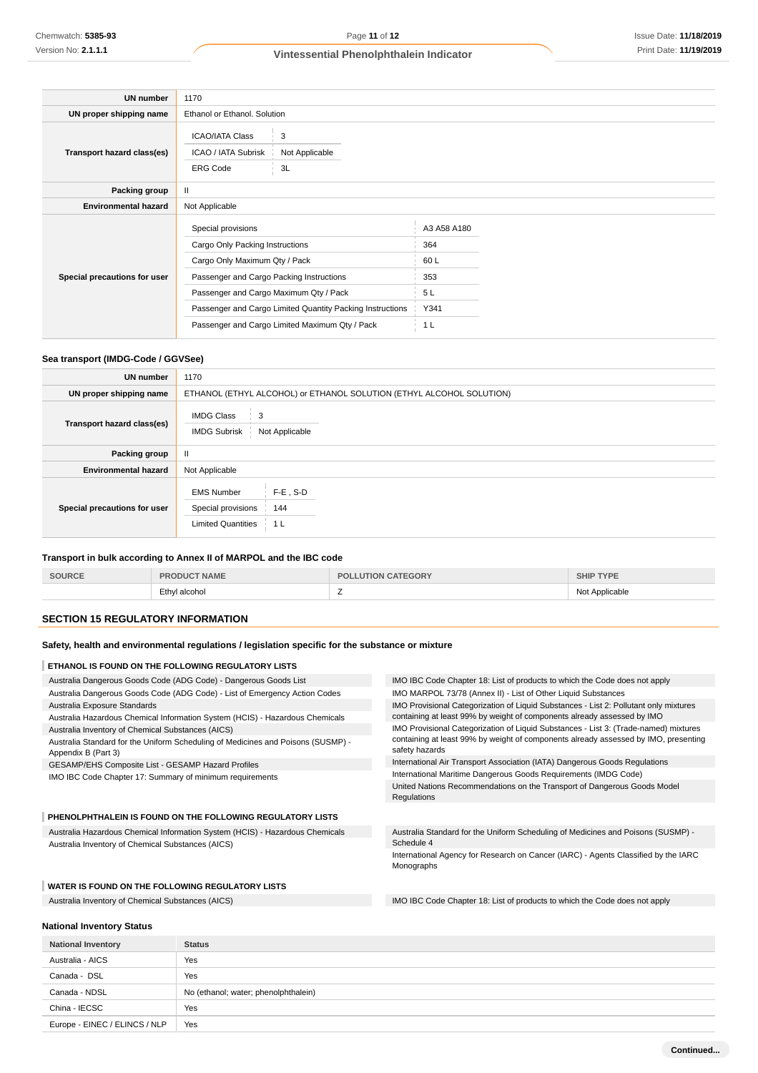| UN number                    | 1170                                                                                                                                                                                                                                                                                        |                           |                                                                   |  |
|------------------------------|---------------------------------------------------------------------------------------------------------------------------------------------------------------------------------------------------------------------------------------------------------------------------------------------|---------------------------|-------------------------------------------------------------------|--|
| UN proper shipping name      | Ethanol or Ethanol. Solution                                                                                                                                                                                                                                                                |                           |                                                                   |  |
| Transport hazard class(es)   | <b>ICAO/IATA Class</b><br><b>ICAO / IATA Subrisk</b><br><b>ERG Code</b>                                                                                                                                                                                                                     | 3<br>Not Applicable<br>3L |                                                                   |  |
| Packing group                | $\mathbf{II}$                                                                                                                                                                                                                                                                               |                           |                                                                   |  |
| <b>Environmental hazard</b>  | Not Applicable                                                                                                                                                                                                                                                                              |                           |                                                                   |  |
| Special precautions for user | Special provisions<br>Cargo Only Packing Instructions<br>Cargo Only Maximum Qty / Pack<br>Passenger and Cargo Packing Instructions<br>Passenger and Cargo Maximum Qty / Pack<br>Passenger and Cargo Limited Quantity Packing Instructions<br>Passenger and Cargo Limited Maximum Qty / Pack |                           | A3 A58 A180<br>364<br>60L<br>353<br>5 L<br>Y341<br>1 <sub>L</sub> |  |

## **Sea transport (IMDG-Code / GGVSee)**

| <b>UN number</b>             | 1170                                                                                                         |  |  |
|------------------------------|--------------------------------------------------------------------------------------------------------------|--|--|
| UN proper shipping name      | ETHANOL (ETHYL ALCOHOL) or ETHANOL SOLUTION (ETHYL ALCOHOL SOLUTION)                                         |  |  |
| Transport hazard class(es)   | <b>IMDG Class</b><br>3<br><b>IMDG Subrisk</b><br>Not Applicable                                              |  |  |
| Packing group                | $\mathbf{II}$                                                                                                |  |  |
| <b>Environmental hazard</b>  | Not Applicable                                                                                               |  |  |
| Special precautions for user | $F-E$ , S-D<br><b>EMS Number</b><br>Special provisions<br>144<br><b>Limited Quantities</b><br>1 <sub>L</sub> |  |  |

## **Transport in bulk according to Annex II of MARPOL and the IBC code**

| <b>SOURCE</b> | <b>T NAME</b><br>PRODUC | <b>LUTION CATEGORY</b><br>PG. | <b>SHIP TYPE</b> |
|---------------|-------------------------|-------------------------------|------------------|
|               | Ethyl alcohol           |                               | Not Applicable   |

## **SECTION 15 REGULATORY INFORMATION**

# **Safety, health and environmental regulations / legislation specific for the substance or mixture**

#### **ETHANOL IS FOUND ON THE FOLLOWING REGULATORY LISTS**

| Australia Dangerous Goods Code (ADG Code) - Dangerous Goods List                                        | IMO IBC Code Chapter 18: List of products to which the Code does not apply                            |  |
|---------------------------------------------------------------------------------------------------------|-------------------------------------------------------------------------------------------------------|--|
| Australia Dangerous Goods Code (ADG Code) - List of Emergency Action Codes                              | IMO MARPOL 73/78 (Annex II) - List of Other Liquid Substances                                         |  |
| Australia Exposure Standards                                                                            | IMO Provisional Categorization of Liquid Substances - List 2: Pollutant only mixtures                 |  |
| Australia Hazardous Chemical Information System (HCIS) - Hazardous Chemicals                            | containing at least 99% by weight of components already assessed by IMO                               |  |
| Australia Inventory of Chemical Substances (AICS)                                                       | IMO Provisional Categorization of Liquid Substances - List 3: (Trade-named) mixtures                  |  |
| Australia Standard for the Uniform Scheduling of Medicines and Poisons (SUSMP) -<br>Appendix B (Part 3) | containing at least 99% by weight of components already assessed by IMO, presenting<br>safety hazards |  |
| GESAMP/EHS Composite List - GESAMP Hazard Profiles                                                      | International Air Transport Association (IATA) Dangerous Goods Regulations                            |  |
| IMO IBC Code Chapter 17: Summary of minimum requirements                                                | International Maritime Dangerous Goods Requirements (IMDG Code)                                       |  |
|                                                                                                         | United Nations Recommendations on the Transport of Dangerous Goods Model<br>Regulations               |  |
| PHENOLPHTHALEIN IS FOUND ON THE FOLLOWING REGULATORY LISTS                                              |                                                                                                       |  |
| Australia Hazardous Chemical Information System (HCIS) - Hazardous Chemicals                            | Australia Standard for the Uniform Scheduling of Medicines and Poisons (SUSMP) -                      |  |
| Australia Inventory of Chemical Substances (AICS)                                                       | Schedule 4                                                                                            |  |
|                                                                                                         | International Agency for Research on Cancer (IARC) - Agents Classified by the IARC<br>Monographs      |  |
| WATER IS FOUND ON THE FOLLOWING REGULATORY LISTS                                                        |                                                                                                       |  |

Australia Inventory of Chemical Substances (AICS) IMO IBC Code Chapter 18: List of products to which the Code does not apply

# **National Inventory Status National Inventory Status** Australia - AICS Yes Canada - DSL Yes Canada - NDSL No (ethanol; water; phenolphthalein) China - IECSC Yes Europe - EINEC / ELINCS / NLP Yes